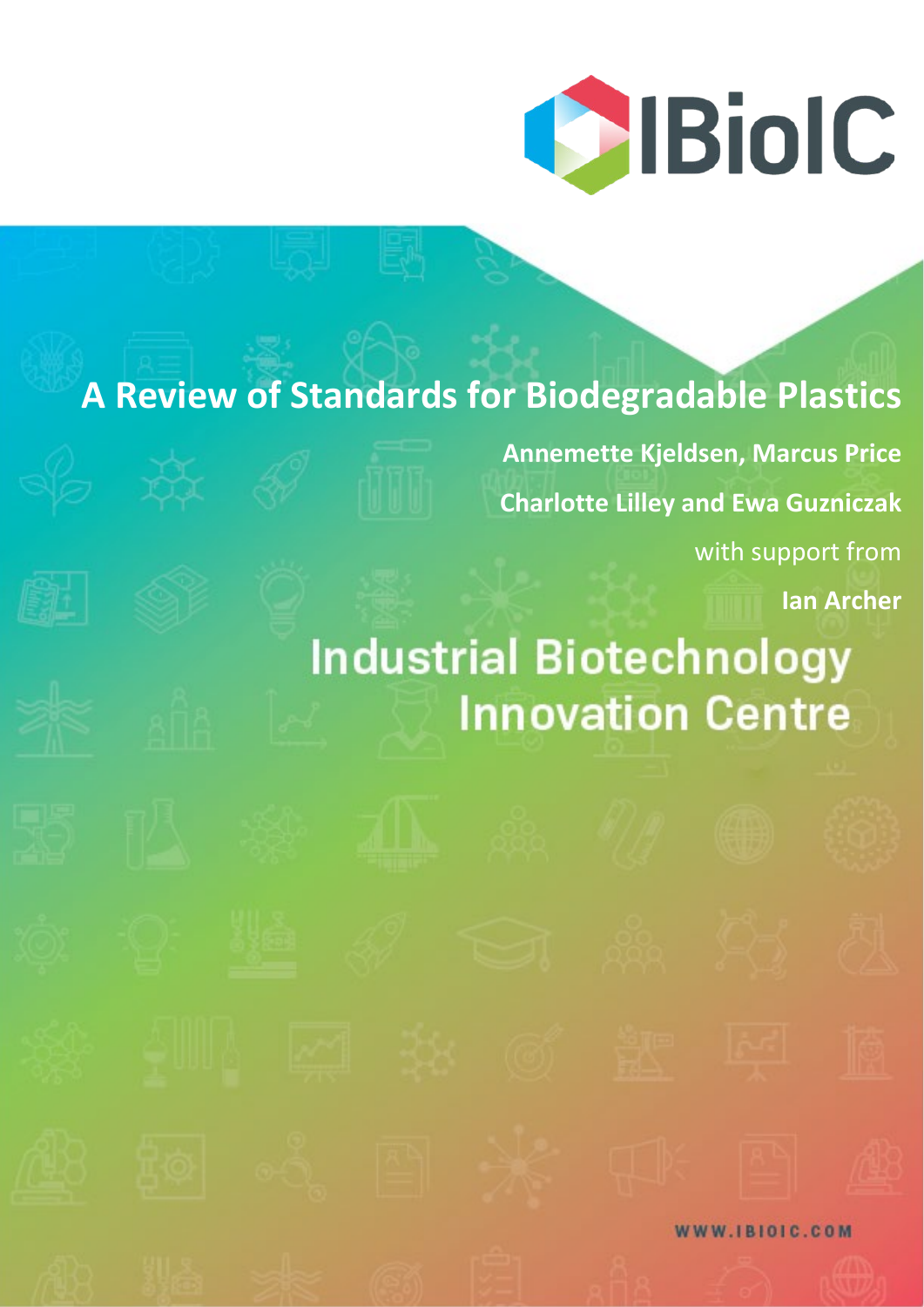

# **A Review of Standards for Biodegradable Plastics**

**Annemette Kjeldsen, Marcus Price Charlotte Lilley and Ewa Guzniczak** with support from

**Ian Archer**

# **Industrial Biotechnology Innovation Centre**

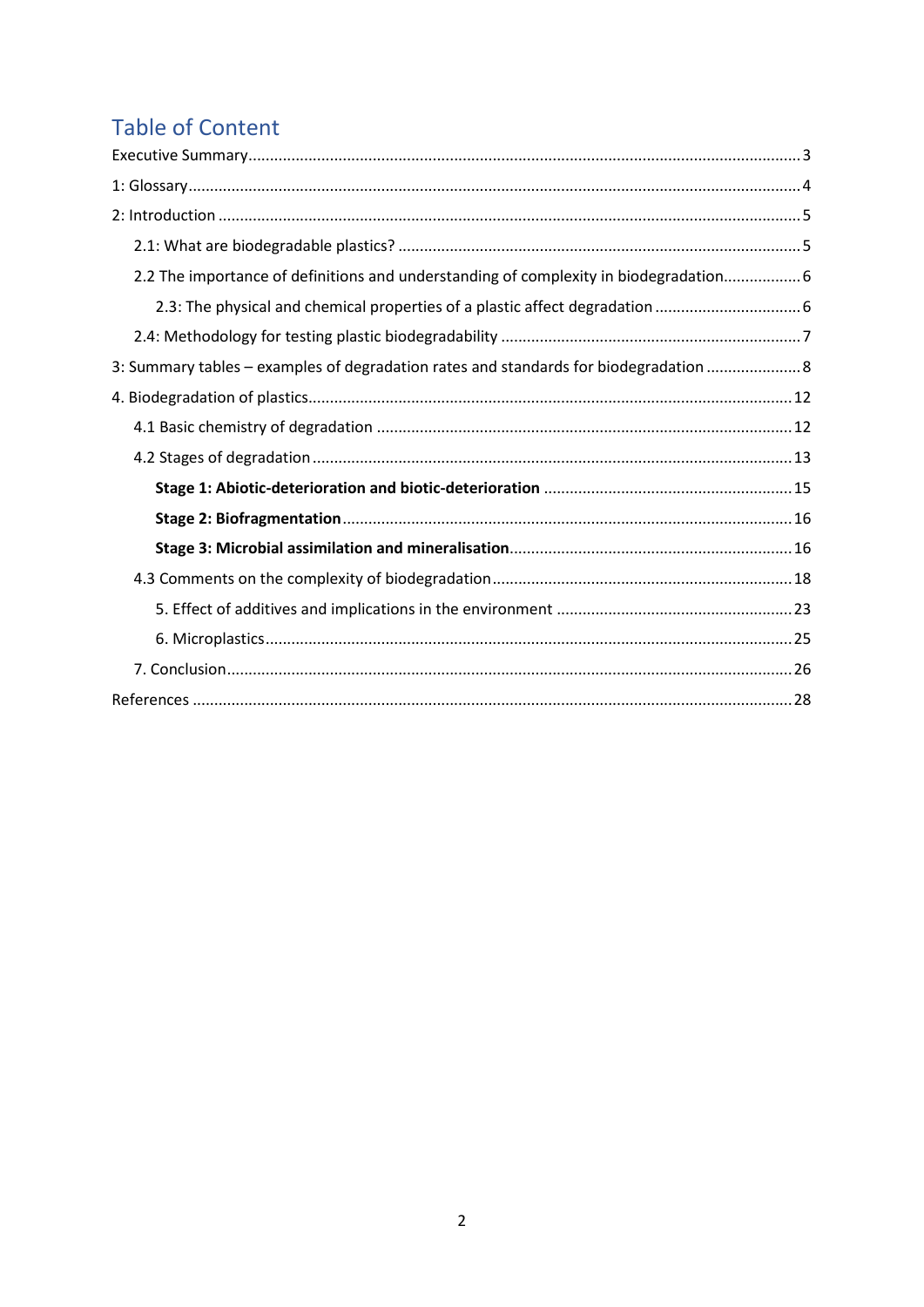# **Table of Content**

| 2.2 The importance of definitions and understanding of complexity in biodegradation 6 |
|---------------------------------------------------------------------------------------|
|                                                                                       |
|                                                                                       |
| 3: Summary tables - examples of degradation rates and standards for biodegradation  8 |
|                                                                                       |
|                                                                                       |
|                                                                                       |
|                                                                                       |
|                                                                                       |
|                                                                                       |
|                                                                                       |
|                                                                                       |
|                                                                                       |
|                                                                                       |
|                                                                                       |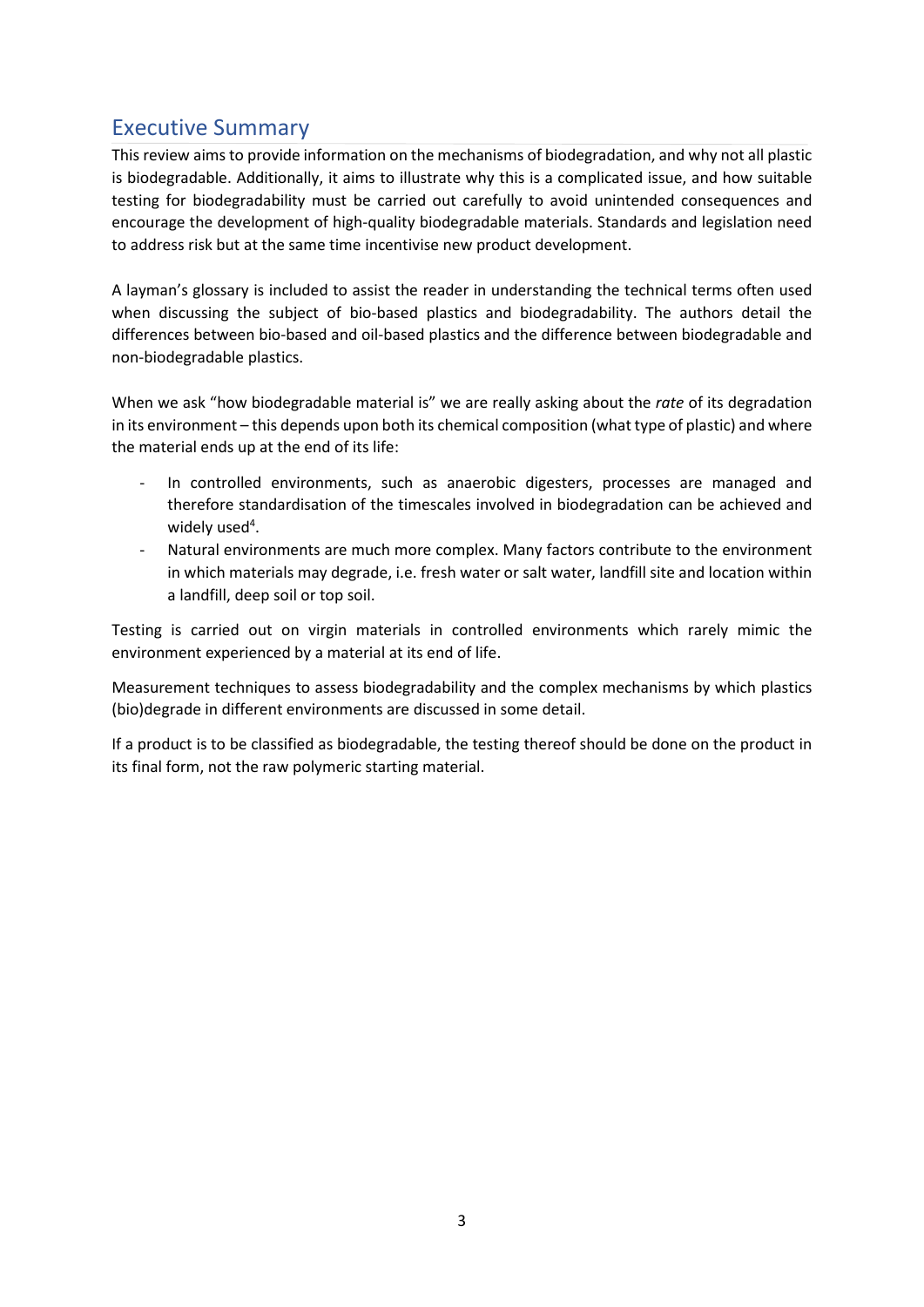# <span id="page-2-0"></span>Executive Summary

This review aims to provide information on the mechanisms of biodegradation, and why not all plastic is biodegradable. Additionally, it aims to illustrate why this is a complicated issue, and how suitable testing for biodegradability must be carried out carefully to avoid unintended consequences and encourage the development of high-quality biodegradable materials. Standards and legislation need to address risk but at the same time incentivise new product development.

A layman's glossary is included to assist the reader in understanding the technical terms often used when discussing the subject of bio-based plastics and biodegradability. The authors detail the differences between bio-based and oil-based plastics and the difference between biodegradable and non-biodegradable plastics.

When we ask "how biodegradable material is" we are really asking about the *rate* of its degradation in its environment – this depends upon both its chemical composition (what type of plastic) and where the material ends up at the end of its life:

- In controlled environments, such as anaerobic digesters, processes are managed and therefore standardisation of the timescales involved in biodegradation can be achieved and widely used<sup>4</sup>.
- Natural environments are much more complex. Many factors contribute to the environment in which materials may degrade, i.e. fresh water or salt water, landfill site and location within a landfill, deep soil or top soil.

Testing is carried out on virgin materials in controlled environments which rarely mimic the environment experienced by a material at its end of life.

Measurement techniques to assess biodegradability and the complex mechanisms by which plastics (bio)degrade in different environments are discussed in some detail.

If a product is to be classified as biodegradable, the testing thereof should be done on the product in its final form, not the raw polymeric starting material.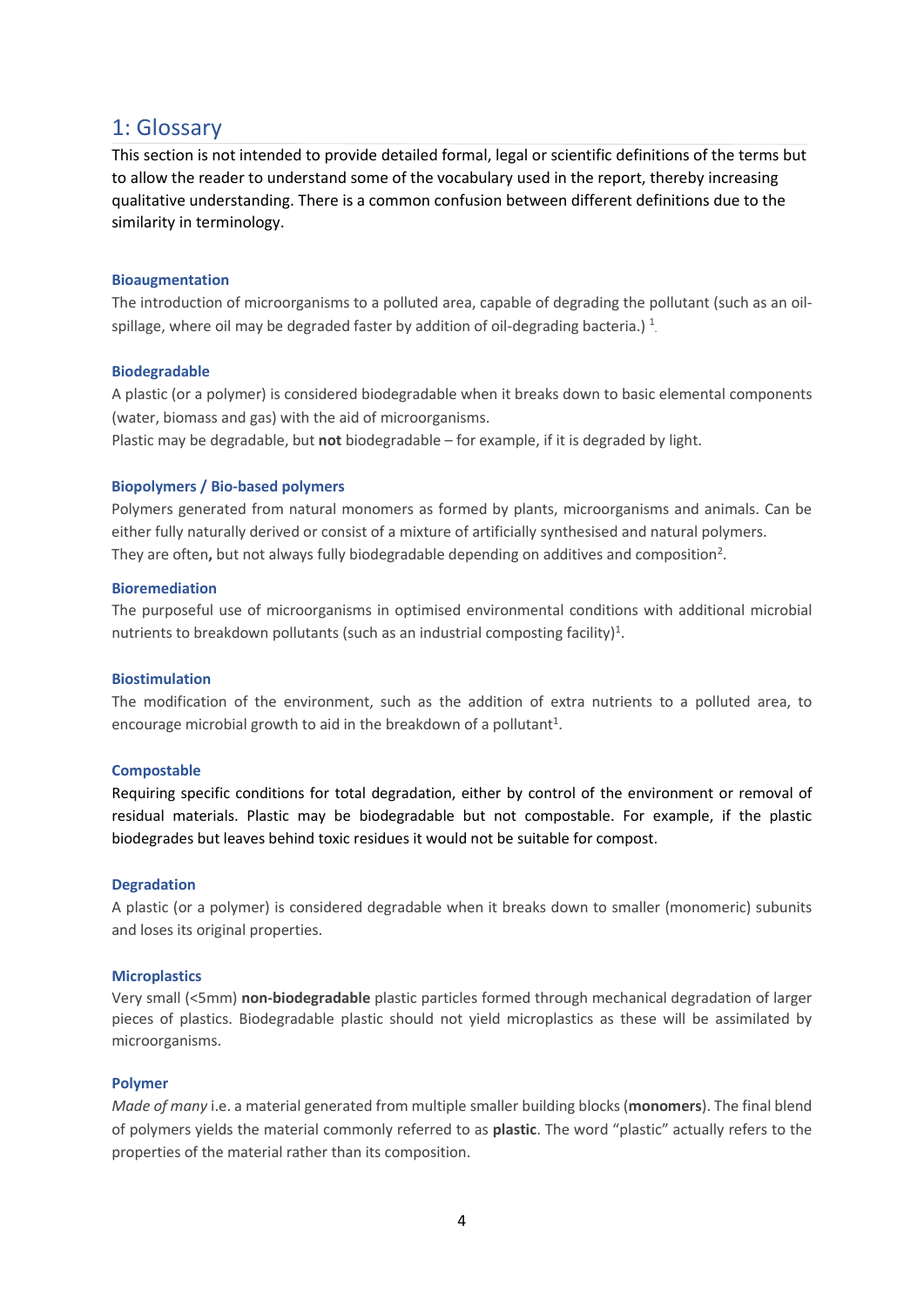### <span id="page-3-0"></span>1: Glossary

This section is not intended to provide detailed formal, legal or scientific definitions of the terms but to allow the reader to understand some of the vocabulary used in the report, thereby increasing qualitative understanding. There is a common confusion between different definitions due to the similarity in terminology.

### **Bioaugmentation**

The introduction of microorganisms to a polluted area, capable of degrading the pollutant (such as an oilspillage, where oil may be degraded faster by addition of oil-degrading bacteria.)  $^1$ 

### **Biodegradable**

A plastic (or a polymer) is considered biodegradable when it breaks down to basic elemental components (water, biomass and gas) with the aid of microorganisms.

Plastic may be degradable, but **not** biodegradable – for example, if it is degraded by light.

### **Biopolymers / Bio-based polymers**

Polymers generated from natural monomers as formed by plants, microorganisms and animals. Can be either fully naturally derived or consist of a mixture of artificially synthesised and natural polymers. They are often, but not always fully biodegradable depending on additives and composition<sup>2</sup>.

### **Bioremediation**

The purposeful use of microorganisms in optimised environmental conditions with additional microbial nutrients to breakdown pollutants (such as an industrial composting facility)<sup>1</sup>.

### **Biostimulation**

The modification of the environment, such as the addition of extra nutrients to a polluted area, to encourage microbial growth to aid in the breakdown of a pollutant<sup>1</sup>.

### **Compostable**

Requiring specific conditions for total degradation, either by control of the environment or removal of residual materials. Plastic may be biodegradable but not compostable. For example, if the plastic biodegrades but leaves behind toxic residues it would not be suitable for compost.

### **Degradation**

A plastic (or a polymer) is considered degradable when it breaks down to smaller (monomeric) subunits and loses its original properties.

### **Microplastics**

Very small (<5mm) **non-biodegradable** plastic particles formed through mechanical degradation of larger pieces of plastics. Biodegradable plastic should not yield microplastics as these will be assimilated by microorganisms.

### **Polymer**

*Made of many* i.e. a material generated from multiple smaller building blocks (**monomers**). The final blend of polymers yields the material commonly referred to as **plastic**. The word "plastic" actually refers to the properties of the material rather than its composition.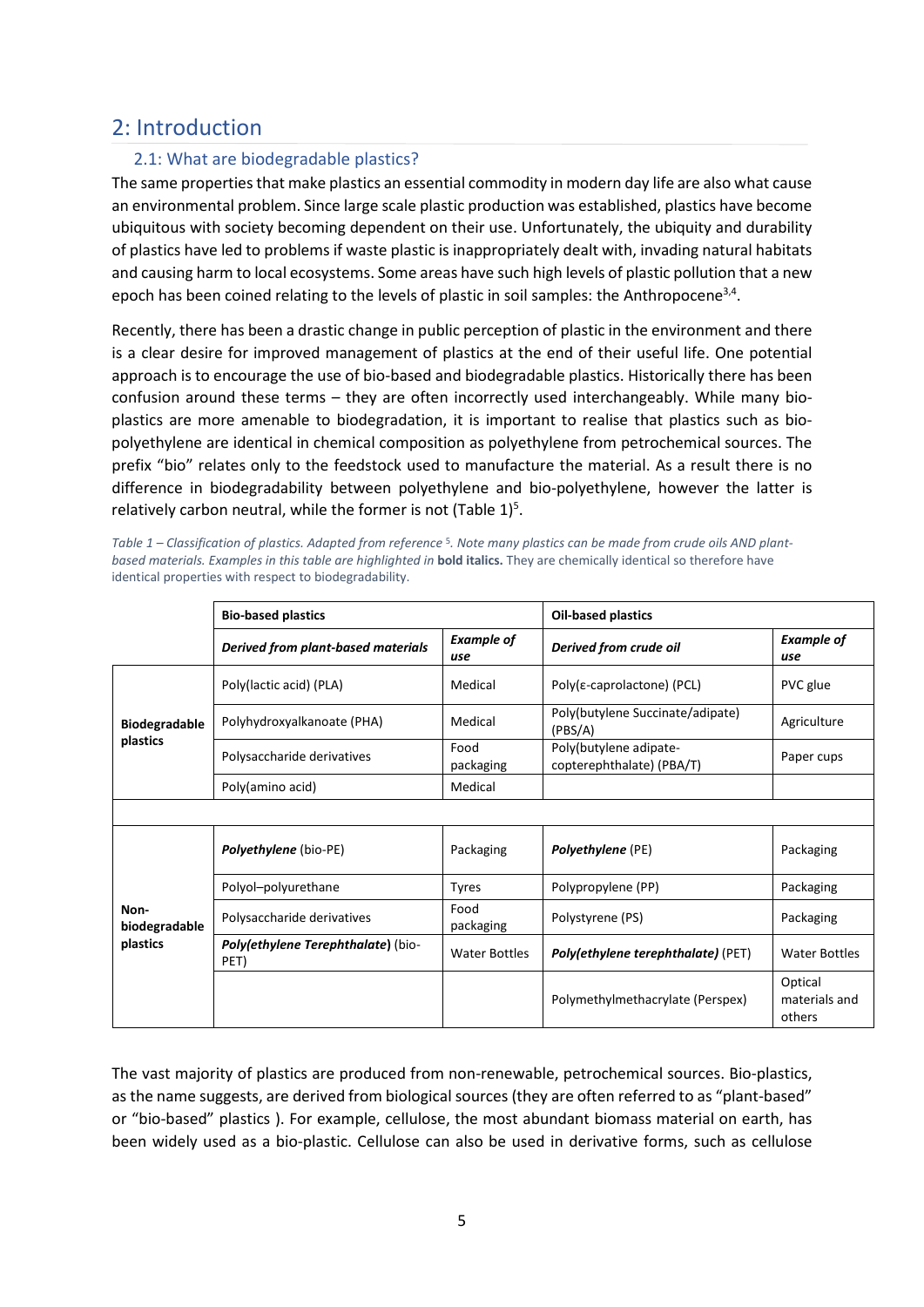## <span id="page-4-0"></span>2: Introduction

### <span id="page-4-1"></span>2.1: What are biodegradable plastics?

The same properties that make plastics an essential commodity in modern day life are also what cause an environmental problem. Since large scale plastic production was established, plastics have become ubiquitous with society becoming dependent on their use. Unfortunately, the ubiquity and durability of plastics have led to problems if waste plastic is inappropriately dealt with, invading natural habitats and causing harm to local ecosystems. Some areas have such high levels of plastic pollution that a new epoch has been coined relating to the levels of plastic in soil samples: the Anthropocene<sup>3,4</sup>.

Recently, there has been a drastic change in public perception of plastic in the environment and there is a clear desire for improved management of plastics at the end of their useful life. One potential approach is to encourage the use of bio-based and biodegradable plastics. Historically there has been confusion around these terms – they are often incorrectly used interchangeably. While many bioplastics are more amenable to biodegradation, it is important to realise that plastics such as biopolyethylene are identical in chemical composition as polyethylene from petrochemical sources. The prefix "bio" relates only to the feedstock used to manufacture the material. As a result there is no difference in biodegradability between polyethylene and bio-polyethylene, however the latter is relatively carbon neutral, while the former is not (Table  $1$ )<sup>5</sup>.

*Table 1 – Classification of plastics. Adapted from reference* <sup>5</sup>*. Note many plastics can be made from crude oils AND plantbased materials. Examples in this table are highlighted in* **bold italics.** They are chemically identical so therefore have identical properties with respect to biodegradability.

|                       | <b>Bio-based plastics</b>                  |                          | <b>Oil-based plastics</b>                           |                                    |  |  |
|-----------------------|--------------------------------------------|--------------------------|-----------------------------------------------------|------------------------------------|--|--|
|                       | Derived from plant-based materials         | <b>Example of</b><br>use | Derived from crude oil                              | <b>Example of</b><br>use           |  |  |
| <b>Biodegradable</b>  | Poly(lactic acid) (PLA)                    | Medical                  | Poly( $\varepsilon$ -caprolactone) (PCL)            | PVC glue                           |  |  |
|                       | Polyhydroxyalkanoate (PHA)                 | Medical                  | Poly(butylene Succinate/adipate)<br>(PBS/A)         | Agriculture                        |  |  |
| plastics              | Polysaccharide derivatives                 | Food<br>packaging        | Poly(butylene adipate-<br>copterephthalate) (PBA/T) | Paper cups                         |  |  |
|                       | Poly(amino acid)                           | Medical                  |                                                     |                                    |  |  |
|                       |                                            |                          |                                                     |                                    |  |  |
|                       | Polyethylene (bio-PE)                      | Packaging                | <b>Polyethylene</b> (PE)                            | Packaging                          |  |  |
|                       | Polyol-polyurethane                        | <b>Tyres</b>             | Polypropylene (PP)                                  | Packaging                          |  |  |
| Non-<br>biodegradable | Polysaccharide derivatives                 | Food<br>packaging        | Polystyrene (PS)                                    | Packaging                          |  |  |
| plastics              | Poly(ethylene Terephthalate) (bio-<br>PET) | <b>Water Bottles</b>     | Poly(ethylene terephthalate) (PET)                  | Water Bottles                      |  |  |
|                       |                                            |                          | Polymethylmethacrylate (Perspex)                    | Optical<br>materials and<br>others |  |  |

The vast majority of plastics are produced from non-renewable, petrochemical sources. Bio-plastics, as the name suggests, are derived from biological sources (they are often referred to as "plant-based" or "bio-based" plastics ). For example, cellulose, the most abundant biomass material on earth, has been widely used as a bio-plastic. Cellulose can also be used in derivative forms, such as cellulose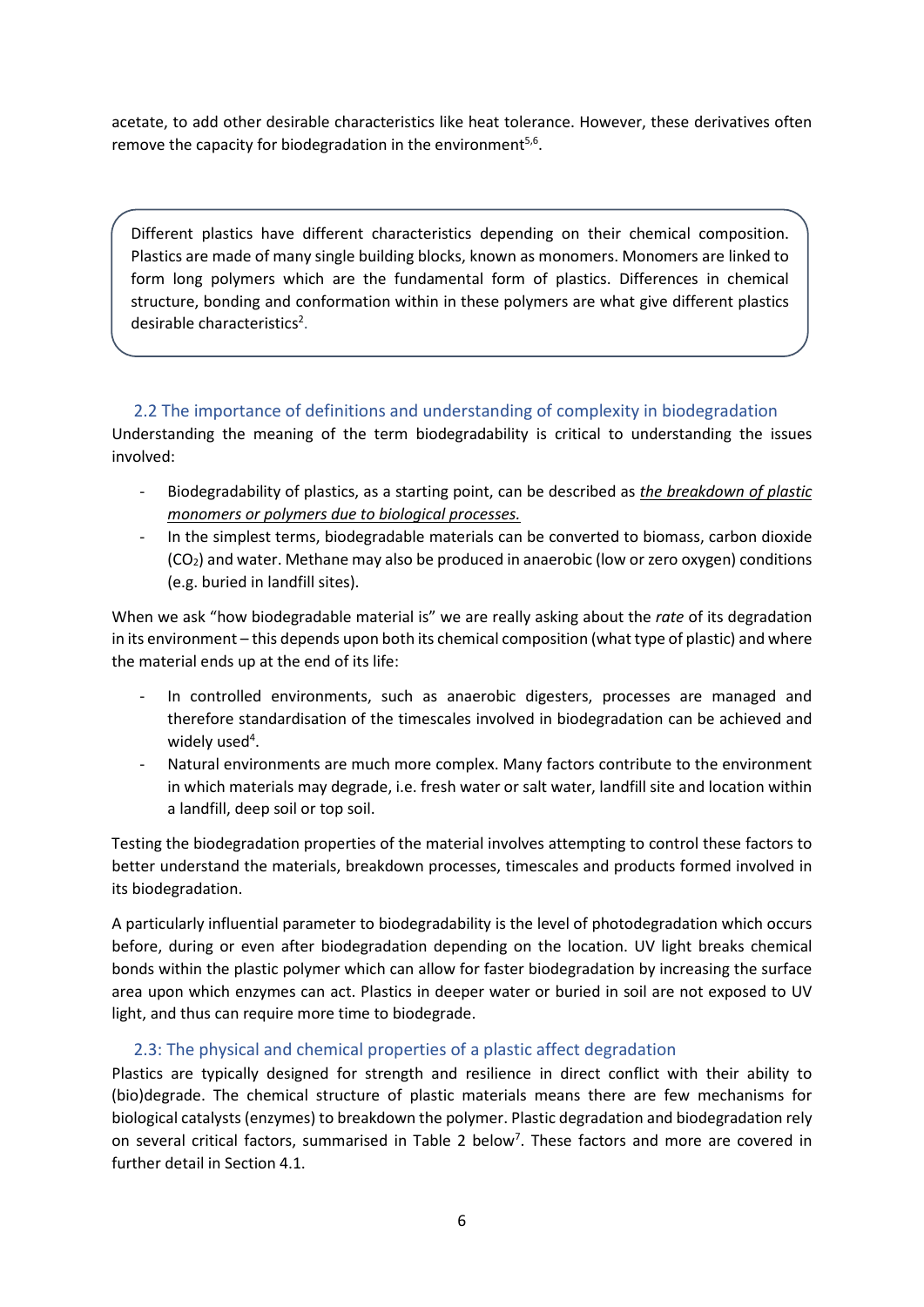acetate, to add other desirable characteristics like heat tolerance. However, these derivatives often remove the capacity for biodegradation in the environment $5,6$ .

Different plastics have different characteristics depending on their chemical composition. Plastics are made of many single building blocks, known as monomers. Monomers are linked to form long polymers which are the fundamental form of plastics. Differences in chemical structure, bonding and conformation within in these polymers are what give different plastics desirable characteristics<sup>2</sup>.

### <span id="page-5-0"></span>2.2 The importance of definitions and understanding of complexity in biodegradation

Understanding the meaning of the term biodegradability is critical to understanding the issues involved:

- Biodegradability of plastics, as a starting point, can be described as *the breakdown of plastic monomers or polymers due to biological processes.*
- In the simplest terms, biodegradable materials can be converted to biomass, carbon dioxide (CO2) and water. Methane may also be produced in anaerobic (low or zero oxygen) conditions (e.g. buried in landfill sites).

When we ask "how biodegradable material is" we are really asking about the *rate* of its degradation in its environment – this depends upon both its chemical composition (what type of plastic) and where the material ends up at the end of its life:

- In controlled environments, such as anaerobic digesters, processes are managed and therefore standardisation of the timescales involved in biodegradation can be achieved and widely used<sup>4</sup>.
- Natural environments are much more complex. Many factors contribute to the environment in which materials may degrade, i.e. fresh water or salt water, landfill site and location within a landfill, deep soil or top soil.

Testing the biodegradation properties of the material involves attempting to control these factors to better understand the materials, breakdown processes, timescales and products formed involved in its biodegradation.

A particularly influential parameter to biodegradability is the level of photodegradation which occurs before, during or even after biodegradation depending on the location. UV light breaks chemical bonds within the plastic polymer which can allow for faster biodegradation by increasing the surface area upon which enzymes can act. Plastics in deeper water or buried in soil are not exposed to UV light, and thus can require more time to biodegrade.

### <span id="page-5-1"></span>2.3: The physical and chemical properties of a plastic affect degradation

Plastics are typically designed for strength and resilience in direct conflict with their ability to (bio)degrade. The chemical structure of plastic materials means there are few mechanisms for biological catalysts (enzymes) to breakdown the polymer. Plastic degradation and biodegradation rely on several critical factors, summarised in Table 2 below<sup>7</sup>. These factors and more are covered in further detail in Section 4.1.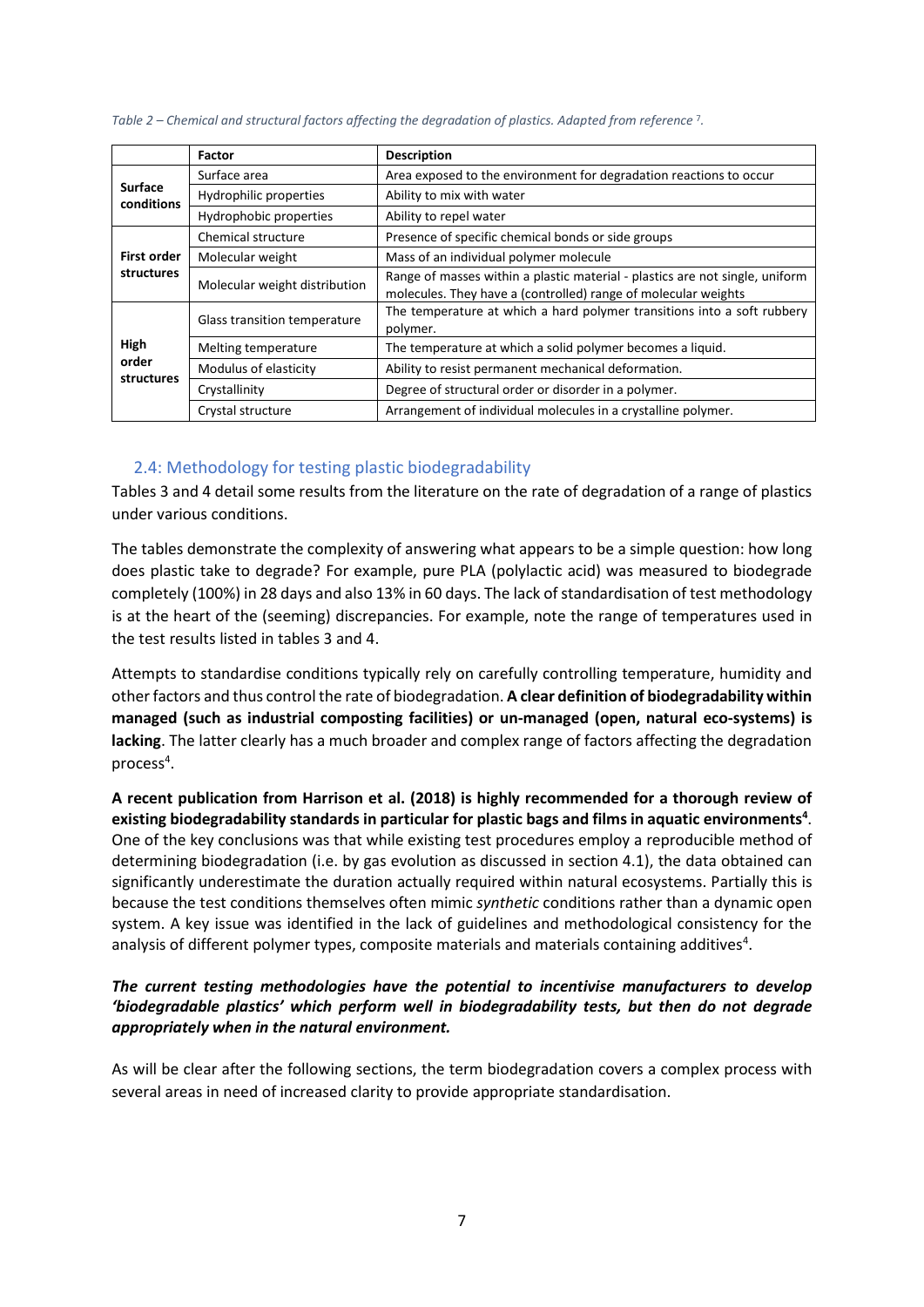|                              | <b>Factor</b>                 | <b>Description</b>                                                                                                                             |
|------------------------------|-------------------------------|------------------------------------------------------------------------------------------------------------------------------------------------|
|                              | Surface area                  | Area exposed to the environment for degradation reactions to occur                                                                             |
| <b>Surface</b><br>conditions | Hydrophilic properties        | Ability to mix with water                                                                                                                      |
|                              | Hydrophobic properties        | Ability to repel water                                                                                                                         |
|                              | Chemical structure            | Presence of specific chemical bonds or side groups                                                                                             |
| First order                  | Molecular weight              | Mass of an individual polymer molecule                                                                                                         |
| structures                   | Molecular weight distribution | Range of masses within a plastic material - plastics are not single, uniform<br>molecules. They have a (controlled) range of molecular weights |
|                              | Glass transition temperature  | The temperature at which a hard polymer transitions into a soft rubbery<br>polymer.                                                            |
| High                         | Melting temperature           | The temperature at which a solid polymer becomes a liquid.                                                                                     |
| order<br>structures          | Modulus of elasticity         | Ability to resist permanent mechanical deformation.                                                                                            |
|                              | Crystallinity                 | Degree of structural order or disorder in a polymer.                                                                                           |
|                              | Crystal structure             | Arrangement of individual molecules in a crystalline polymer.                                                                                  |

*Table 2 – Chemical and structural factors affecting the degradation of plastics. Adapted from reference* <sup>7</sup>*.*

### <span id="page-6-0"></span>2.4: Methodology for testing plastic biodegradability

Tables 3 and 4 detail some results from the literature on the rate of degradation of a range of plastics under various conditions.

The tables demonstrate the complexity of answering what appears to be a simple question: how long does plastic take to degrade? For example, pure PLA (polylactic acid) was measured to biodegrade completely (100%) in 28 days and also 13% in 60 days. The lack of standardisation of test methodology is at the heart of the (seeming) discrepancies. For example, note the range of temperatures used in the test results listed in tables 3 and 4.

Attempts to standardise conditions typically rely on carefully controlling temperature, humidity and other factors and thus control the rate of biodegradation. **A clear definition of biodegradability within managed (such as industrial composting facilities) or un-managed (open, natural eco-systems) is lacking**. The latter clearly has a much broader and complex range of factors affecting the degradation process<sup>4</sup>.

**A recent publication from Harrison et al. (2018) is highly recommended for a thorough review of**  existing biodegradability standards in particular for plastic bags and films in aquatic environments<sup>4</sup>. One of the key conclusions was that while existing test procedures employ a reproducible method of determining biodegradation (i.e. by gas evolution as discussed in section 4.1), the data obtained can significantly underestimate the duration actually required within natural ecosystems. Partially this is because the test conditions themselves often mimic *synthetic* conditions rather than a dynamic open system. A key issue was identified in the lack of guidelines and methodological consistency for the analysis of different polymer types, composite materials and materials containing additives<sup>4</sup>.

### *The current testing methodologies have the potential to incentivise manufacturers to develop 'biodegradable plastics' which perform well in biodegradability tests, but then do not degrade appropriately when in the natural environment.*

As will be clear after the following sections, the term biodegradation covers a complex process with several areas in need of increased clarity to provide appropriate standardisation.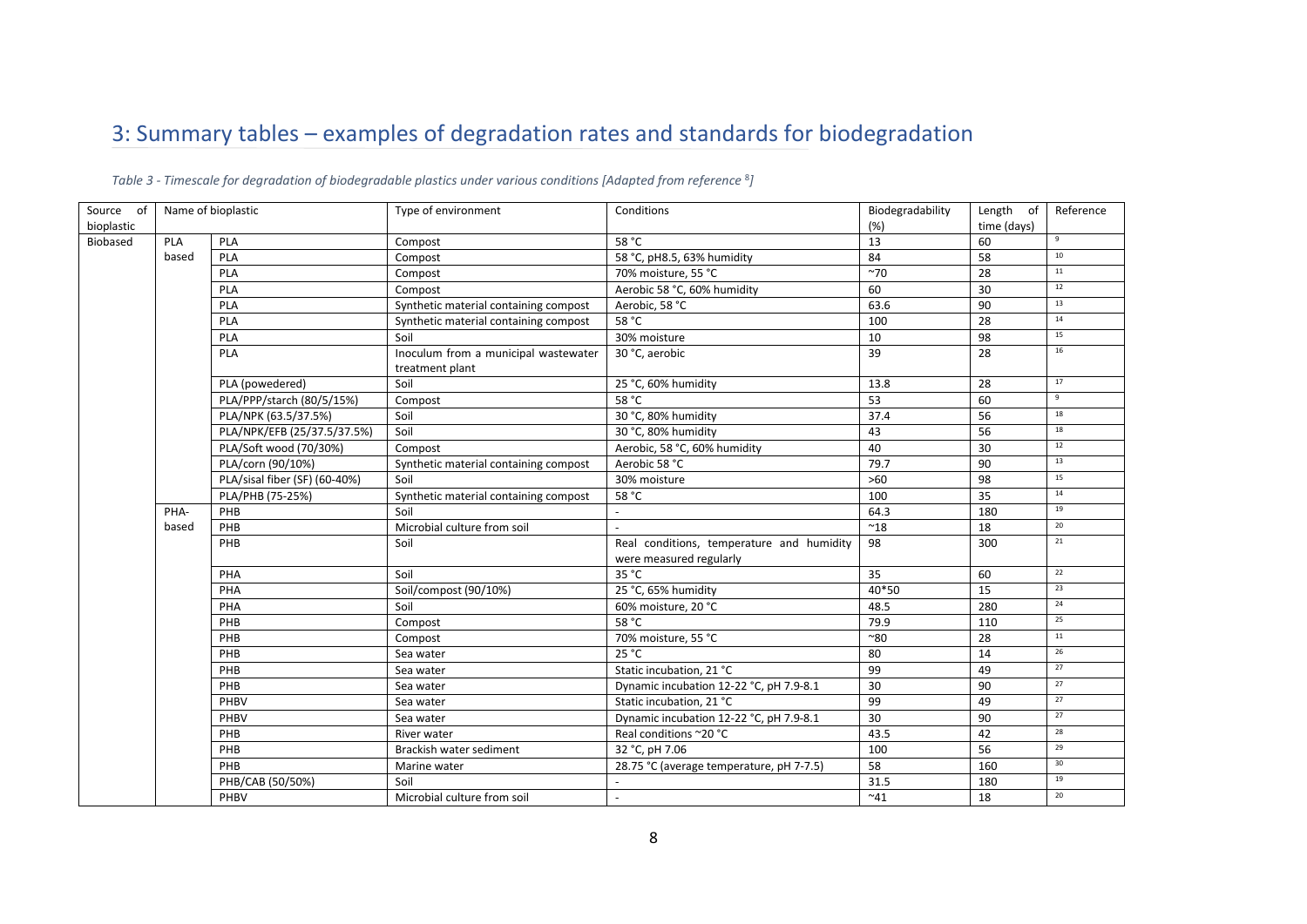# 3: Summary tables – examples of degradation rates and standards for biodegradation

<span id="page-7-0"></span>

| Source of  | Name of bioplastic                        |                               | Type of environment                                     | Conditions                                                           | Biodegradability | Length of   | Reference       |
|------------|-------------------------------------------|-------------------------------|---------------------------------------------------------|----------------------------------------------------------------------|------------------|-------------|-----------------|
| bioplastic |                                           |                               |                                                         |                                                                      | (%)              | time (days) |                 |
| Biobased   | PLA                                       | PLA                           | Compost                                                 | 58 °C                                                                | 13               | 60          | 9               |
|            | PLA<br>based<br>Compost<br>PLA<br>Compost |                               |                                                         | 58 °C, pH8.5, 63% humidity                                           | 84               | 58          | 10              |
|            |                                           |                               |                                                         | 70% moisture, 55 °C                                                  | $~1$ 70          | 28          | 11              |
|            |                                           | PLA                           | Compost                                                 | Aerobic 58 °C, 60% humidity                                          | 60               | 30          | 12              |
|            |                                           | PLA                           | Synthetic material containing compost                   | Aerobic, 58 °C                                                       | 63.6             | 90          | 13              |
|            |                                           | PLA                           | Synthetic material containing compost                   | 58 °C                                                                | 100              | 28          | 14              |
|            |                                           | PLA                           | Soil                                                    | 30% moisture                                                         | 10               | 98          | 15              |
|            | <b>PLA</b>                                |                               | Inoculum from a municipal wastewater<br>treatment plant | 30 °C, aerobic                                                       | 39               | 28          | 16              |
|            |                                           | PLA (powedered)               | Soil                                                    | 25 °C, 60% humidity                                                  | 13.8             | 28          | 17              |
|            |                                           | PLA/PPP/starch (80/5/15%)     | Compost                                                 | 58 °C                                                                | 53               | 60          | $\mathsf{q}$    |
|            |                                           | PLA/NPK (63.5/37.5%)          | Soil                                                    | 30 °C, 80% humidity                                                  | 37.4             | 56          | 18              |
|            |                                           | PLA/NPK/EFB (25/37.5/37.5%)   | Soil                                                    | 30 °C, 80% humidity                                                  | 43               | 56          | 18              |
|            |                                           | PLA/Soft wood (70/30%)        | Compost                                                 | Aerobic, 58 °C, 60% humidity                                         | 40               | 30          | 12              |
|            |                                           | PLA/corn (90/10%)             | Synthetic material containing compost                   | Aerobic 58 °C                                                        | 79.7             | 90          | 13              |
|            |                                           | PLA/sisal fiber (SF) (60-40%) | Soil                                                    | 30% moisture                                                         | $>60$            | 98          | 15              |
|            |                                           | PLA/PHB (75-25%)              | Synthetic material containing compost                   | 58 °C                                                                | 100              | 35          | 14              |
|            | PHA-                                      | PHB                           | Soil                                                    |                                                                      | 64.3             | 180         | 19              |
|            | based                                     | PHB                           | Microbial culture from soil                             |                                                                      | $^{\thicksim}18$ | 18          | 20              |
|            |                                           | PHB                           | Soil                                                    | Real conditions, temperature and humidity<br>were measured regularly | 98               | 300         | 21              |
|            |                                           | PHA                           | Soil                                                    | 35 °C                                                                | 35               | 60          | 22              |
|            |                                           | PHA                           | Soil/compost (90/10%)                                   | 25 °C, 65% humidity                                                  | 40*50            | 15          | 23              |
|            |                                           | PHA                           | Soil                                                    | 60% moisture, 20 °C                                                  | 48.5             | 280         | 24              |
|            |                                           | PHB                           | Compost                                                 | 58 °C                                                                | 79.9             | 110         | 25              |
|            |                                           | PHB                           | Compost                                                 | 70% moisture, 55 °C                                                  | ~80              | 28          | $11\,$          |
|            |                                           | PHB                           | Sea water                                               | 25 °C                                                                | 80               | 14          | 26              |
|            |                                           | PHB                           | Sea water                                               | Static incubation, 21 °C                                             | 99               | 49          | 27              |
|            |                                           | PHB                           | Sea water                                               | Dynamic incubation 12-22 °C, pH 7.9-8.1                              | 30               | 90          | 27              |
|            |                                           | PHBV                          | Sea water                                               | Static incubation, 21 °C                                             | 99               | 49          | 27              |
|            |                                           | PHBV                          | Sea water                                               | Dynamic incubation 12-22 °C, pH 7.9-8.1                              | 30               | 90          | 27              |
|            |                                           | PHB                           | River water                                             | Real conditions ~20 °C                                               | 43.5             | 42          | 28              |
|            |                                           | PHB                           | Brackish water sediment                                 | 32 °C, pH 7.06                                                       | 100              | 56          | 29              |
|            |                                           | PHB                           | Marine water                                            | 28.75 °C (average temperature, pH 7-7.5)                             | 58               | 160         | 30 <sup>°</sup> |
|            |                                           | PHB/CAB (50/50%)              | Soil                                                    |                                                                      | 31.5             | 180         | 19              |
|            |                                           | PHBV                          | Microbial culture from soil                             |                                                                      | ~1               | 18          | 20              |

*Table 3 - Timescale for degradation of biodegradable plastics under various conditions [Adapted from reference* <sup>8</sup>*]*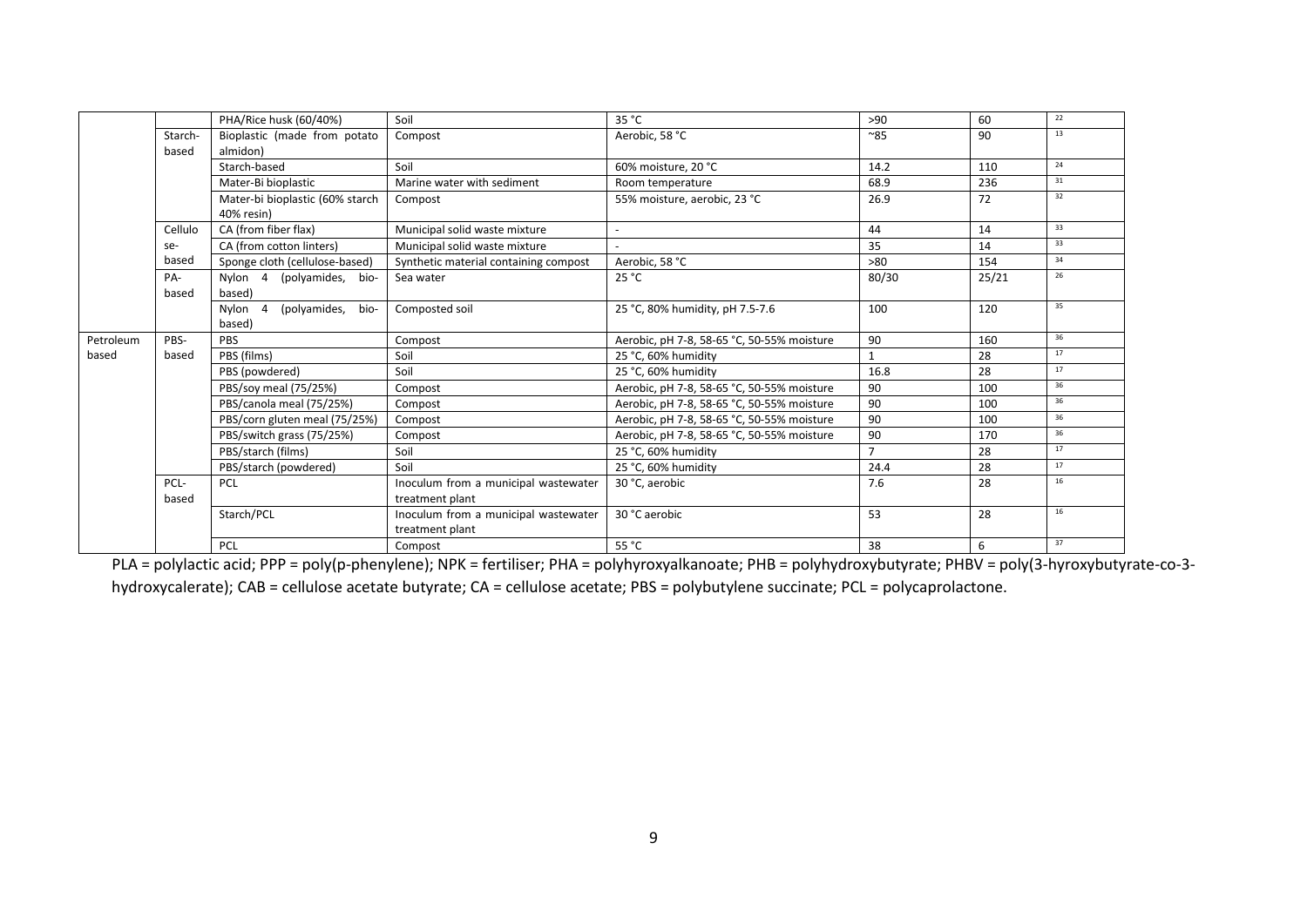|           |              | PHA/Rice husk (60/40%)          | Soil                                  | 35 °C                                      | >90            | 60    | 22 |
|-----------|--------------|---------------------------------|---------------------------------------|--------------------------------------------|----------------|-------|----|
|           | Starch-      | Bioplastic (made from potato    | Compost                               | Aerobic, 58 °C                             | ~85            | 90    | 13 |
|           | based        | almidon)                        |                                       |                                            |                |       |    |
|           | Starch-based |                                 | Soil                                  | 60% moisture, 20 °C                        | 14.2           | 110   | 24 |
|           |              | Mater-Bi bioplastic             | Marine water with sediment            | Room temperature                           | 68.9           | 236   | 31 |
|           |              | Mater-bi bioplastic (60% starch | Compost                               | 55% moisture, aerobic, 23 °C               | 26.9           | 72    | 32 |
|           |              | 40% resin)                      |                                       |                                            |                |       |    |
|           | Cellulo      | CA (from fiber flax)            | Municipal solid waste mixture         | $\overline{\phantom{a}}$                   | 44             | 14    | 33 |
|           | se-          | CA (from cotton linters)        | Municipal solid waste mixture         |                                            | 35             | 14    | 33 |
|           | based        | Sponge cloth (cellulose-based)  | Synthetic material containing compost | Aerobic, 58 °C                             | >80            | 154   | 34 |
|           | PA-          | Nylon 4 (polyamides, bio-       | Sea water                             | 25 °C                                      | 80/30          | 25/21 | 26 |
|           | based        | based)                          |                                       |                                            |                |       |    |
|           |              | (polyamides,<br>Nylon 4<br>bio- | Composted soil                        | 25 °C, 80% humidity, pH 7.5-7.6            | 100            | 120   | 35 |
|           |              | based)                          |                                       |                                            |                |       |    |
|           |              |                                 |                                       |                                            |                |       |    |
| Petroleum | PBS-         | PBS                             | Compost                               | Aerobic, pH 7-8, 58-65 °C, 50-55% moisture | 90             | 160   | 36 |
| based     | based        | PBS (films)                     | Soil                                  | 25 °C, 60% humidity                        | 1              | 28    | 17 |
|           |              | PBS (powdered)                  | Soil                                  | 25 °C. 60% humidity                        | 16.8           | 28    | 17 |
|           |              | PBS/soy meal (75/25%)           | Compost                               | Aerobic, pH 7-8, 58-65 °C, 50-55% moisture | 90             | 100   | 36 |
|           |              | PBS/canola meal (75/25%)        | Compost                               | Aerobic, pH 7-8, 58-65 °C, 50-55% moisture | 90             | 100   | 36 |
|           |              | PBS/corn gluten meal (75/25%)   | Compost                               | Aerobic, pH 7-8, 58-65 °C, 50-55% moisture | 90             | 100   | 36 |
|           |              | PBS/switch grass (75/25%)       | Compost                               | Aerobic, pH 7-8, 58-65 °C, 50-55% moisture | 90             | 170   | 36 |
|           |              | PBS/starch (films)              | Soil                                  | 25 °C, 60% humidity                        | $\overline{7}$ | 28    | 17 |
|           |              | PBS/starch (powdered)           | Soil                                  | 25 °C, 60% humidity                        | 24.4           | 28    | 17 |
|           | PCL-         | <b>PCL</b>                      | Inoculum from a municipal wastewater  | 30 °C, aerobic                             | 7.6            | 28    | 16 |
|           | based        |                                 | treatment plant                       |                                            |                |       |    |
|           |              | Starch/PCL                      | Inoculum from a municipal wastewater  | 30 °C aerobic                              | 53             | 28    | 16 |
|           |              |                                 | treatment plant                       |                                            |                |       |    |

PLA = polylactic acid; PPP = poly(p-phenylene); NPK = fertiliser; PHA = polyhyroxyalkanoate; PHB = polyhydroxybutyrate; PHBV = poly(3-hyroxybutyrate-co-3 hydroxycalerate); CAB = cellulose acetate butyrate; CA = cellulose acetate; PBS = polybutylene succinate; PCL = polycaprolactone.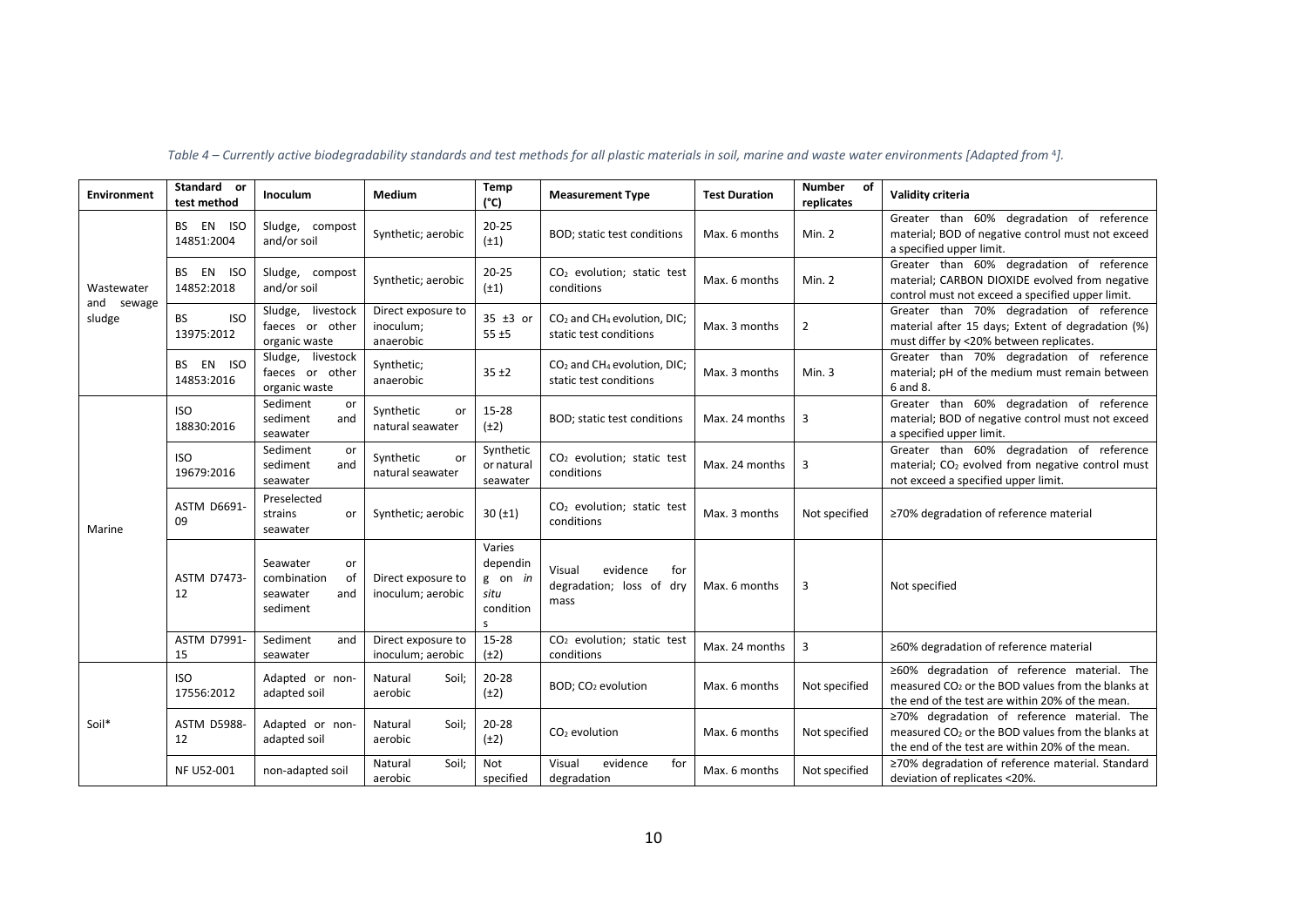| <b>Environment</b>   | Standard or<br>test method            | <b>Inoculum</b>                                                    | <b>Medium</b>                                | Temp<br>$(^{\circ}C)$                                              | <b>Measurement Type</b>                                                       | <b>Test Duration</b> | <b>Number</b><br>of<br>replicates | Validity criteria                                                                                                                                               |
|----------------------|---------------------------------------|--------------------------------------------------------------------|----------------------------------------------|--------------------------------------------------------------------|-------------------------------------------------------------------------------|----------------------|-----------------------------------|-----------------------------------------------------------------------------------------------------------------------------------------------------------------|
| Wastewater           | BS EN ISO<br>14851:2004               | Sludge, compost<br>and/or soil                                     | Synthetic; aerobic                           | $20 - 25$<br>$(\pm 1)$                                             | BOD; static test conditions                                                   | Max. 6 months        | Min. 2                            | Greater than 60% degradation of reference<br>material; BOD of negative control must not exceed<br>a specified upper limit.                                      |
|                      | EN ISO<br>BS<br>14852:2018            | Sludge, compost<br>and/or soil                                     | Synthetic; aerobic                           | $20 - 25$<br>$(\pm 1)$                                             | CO <sub>2</sub> evolution; static test<br>conditions                          | Max. 6 months        | Min. 2                            | Greater than 60% degradation of reference<br>material; CARBON DIOXIDE evolved from negative<br>control must not exceed a specified upper limit.                 |
| and sewage<br>sludge | <b>ISO</b><br><b>BS</b><br>13975:2012 | livestock<br>Sludge,<br>faeces or other<br>organic waste           | Direct exposure to<br>inoculum;<br>anaerobic | 35 ±3 or<br>$55 + 5$                                               | CO <sub>2</sub> and CH <sub>4</sub> evolution, DIC;<br>static test conditions | Max. 3 months        | $\overline{2}$                    | Greater than 70% degradation of reference<br>material after 15 days; Extent of degradation (%)<br>must differ by <20% between replicates.                       |
|                      | EN ISO<br>BS.<br>14853:2016           | livestock<br>Sludge,<br>faeces or other<br>organic waste           | Synthetic;<br>anaerobic                      | $35 + 2$                                                           | $CO2$ and CH <sub>4</sub> evolution, DIC;<br>static test conditions           | Max. 3 months        | Min.3                             | Greater than 70% degradation of reference<br>material; pH of the medium must remain between<br>6 and 8.                                                         |
| Marine               | <b>ISO</b><br>18830:2016              | Sediment<br>or<br>sediment<br>and<br>seawater                      | Synthetic<br>or<br>natural seawater          | 15-28<br>$(\pm 2)$                                                 | BOD; static test conditions                                                   | Max. 24 months       | 3                                 | Greater than 60% degradation of reference<br>material; BOD of negative control must not exceed<br>a specified upper limit.                                      |
|                      | <b>ISO</b><br>19679:2016              | Sediment<br>or<br>sediment<br>and<br>seawater                      | Synthetic<br>or<br>natural seawater          | Synthetic<br>or natural<br>seawater                                | CO <sub>2</sub> evolution; static test<br>conditions                          | Max. 24 months       | 3                                 | Greater than 60% degradation of reference<br>material; CO <sub>2</sub> evolved from negative control must<br>not exceed a specified upper limit.                |
|                      | <b>ASTM D6691-</b><br>09              | Preselected<br>strains<br>or<br>seawater                           | Synthetic; aerobic                           | 30(±1)                                                             | CO <sub>2</sub> evolution; static test<br>conditions                          | Max. 3 months        | Not specified                     | ≥70% degradation of reference material                                                                                                                          |
|                      | <b>ASTM D7473-</b><br>12              | Seawater<br>or<br>combination<br>οf<br>seawater<br>and<br>sediment | Direct exposure to<br>inoculum; aerobic      | Varies<br>dependin<br>g on in<br>situ<br>condition<br>$\mathsf{s}$ | evidence<br>Visual<br>for<br>degradation; loss of dry<br>mass                 | Max. 6 months        | 3                                 | Not specified                                                                                                                                                   |
|                      | <b>ASTM D7991-</b><br>15              | Sediment<br>and<br>seawater                                        | Direct exposure to<br>inoculum; aerobic      | 15-28<br>$(\pm 2)$                                                 | CO <sub>2</sub> evolution; static test<br>conditions                          | Max. 24 months       | $\overline{3}$                    | ≥60% degradation of reference material                                                                                                                          |
|                      | <b>ISO</b><br>17556:2012              | Adapted or non-<br>adapted soil                                    | Soil;<br>Natural<br>aerobic                  | $20 - 28$<br>$(\pm 2)$                                             | BOD; CO <sub>2</sub> evolution                                                | Max. 6 months        | Not specified                     | ≥60% degradation of reference material. The<br>measured CO <sub>2</sub> or the BOD values from the blanks at<br>the end of the test are within 20% of the mean. |
| Soil*                | <b>ASTM D5988-</b><br>12              | Adapted or non-<br>adapted soil                                    | Soil;<br>Natural<br>aerobic                  | $20 - 28$<br>$(\pm 2)$                                             | $CO2$ evolution                                                               | Max. 6 months        | Not specified                     | ≥70% degradation of reference material. The<br>measured CO <sub>2</sub> or the BOD values from the blanks at<br>the end of the test are within 20% of the mean. |
|                      | NF U52-001                            | non-adapted soil                                                   | Soil;<br>Natural<br>aerobic                  | Not<br>specified                                                   | Visual<br>evidence<br>for<br>degradation                                      | Max. 6 months        | Not specified                     | ≥70% degradation of reference material. Standard<br>deviation of replicates <20%.                                                                               |

*Table 4 – Currently active biodegradability standards and test methods for all plastic materials in soil, marine and waste water environments [Adapted from* <sup>4</sup>*].*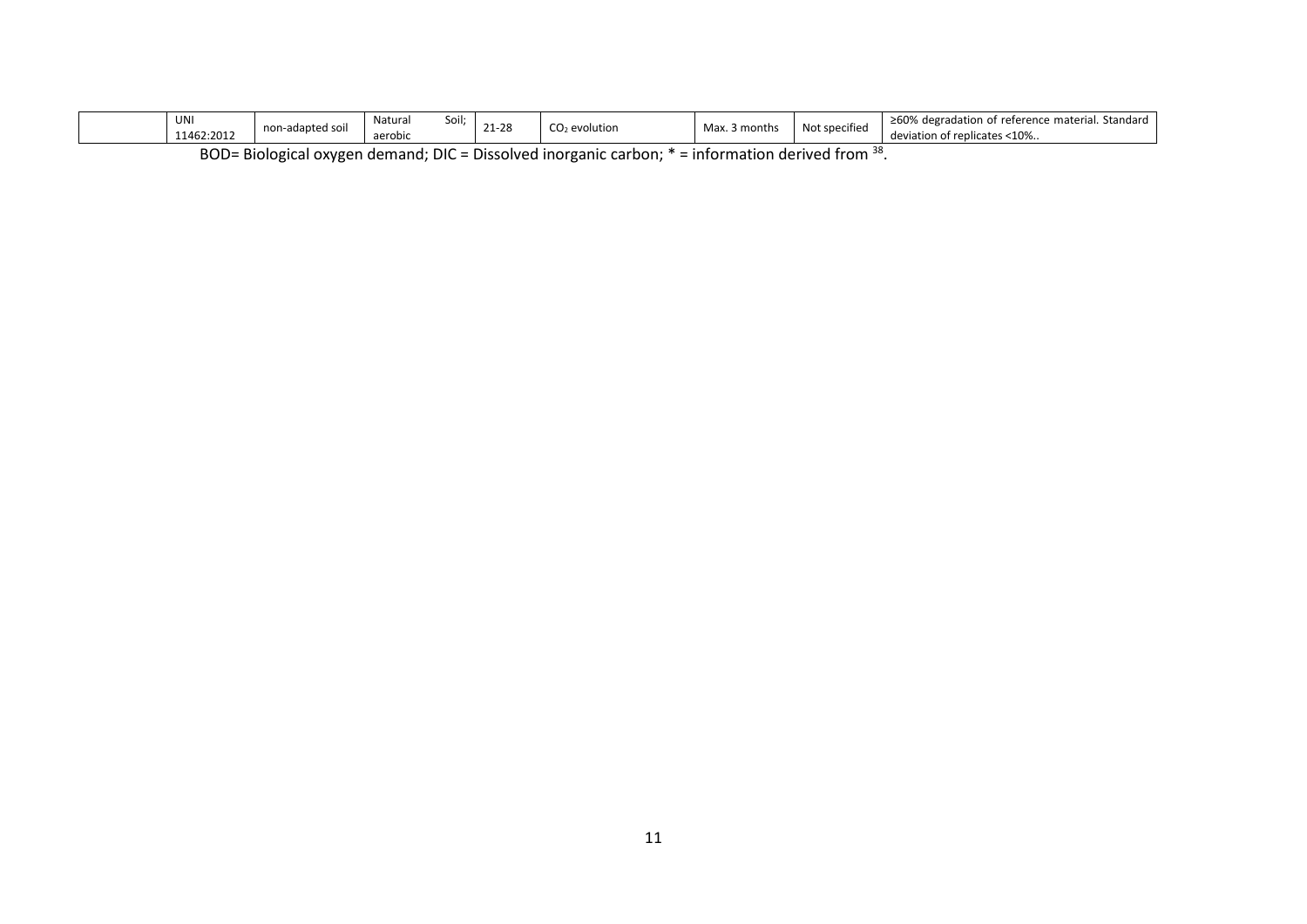|                                                                                                               | UNI<br>11462:2012 | non-adapted soil | Soil:<br>Naturai<br>aerobic | 21-28 | $CO2$ evolution | Max. 3 months | Not specified | ≥60% degradation of reference material. Standard<br>deviation of replicates <10% |
|---------------------------------------------------------------------------------------------------------------|-------------------|------------------|-----------------------------|-------|-----------------|---------------|---------------|----------------------------------------------------------------------------------|
| BOD= Biological oxygen demand; DIC = Dissolved inorganic carbon; $*$ = information derived from <sup>38</sup> |                   |                  |                             |       |                 |               |               |                                                                                  |

11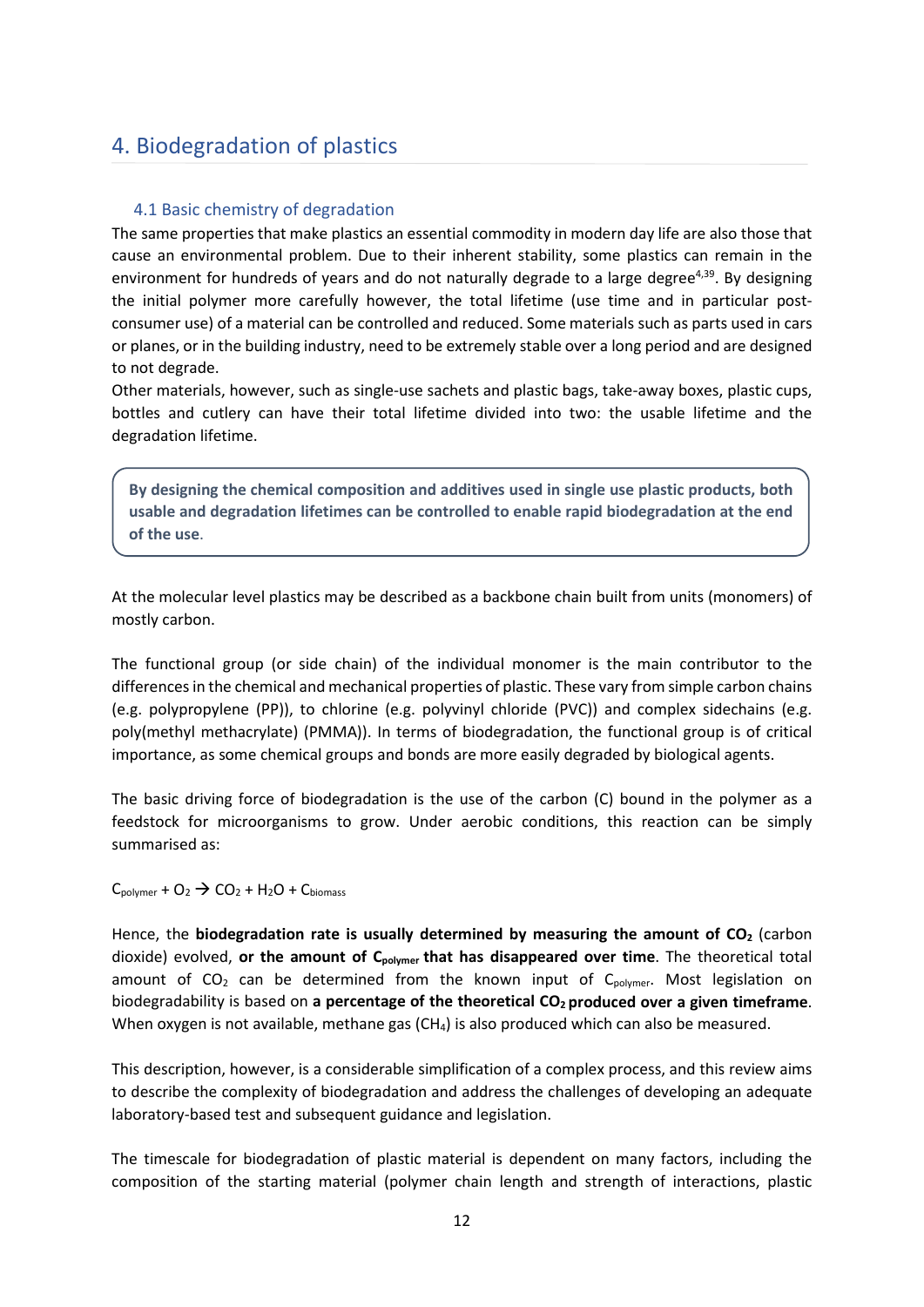# <span id="page-11-0"></span>4. Biodegradation of plastics

### <span id="page-11-1"></span>4.1 Basic chemistry of degradation

The same properties that make plastics an essential commodity in modern day life are also those that cause an environmental problem. Due to their inherent stability, some plastics can remain in the environment for hundreds of years and do not naturally degrade to a large degree<sup>4,39</sup>. By designing the initial polymer more carefully however, the total lifetime (use time and in particular postconsumer use) of a material can be controlled and reduced. Some materials such as parts used in cars or planes, or in the building industry, need to be extremely stable over a long period and are designed to not degrade.

Other materials, however, such as single-use sachets and plastic bags, take-away boxes, plastic cups, bottles and cutlery can have their total lifetime divided into two: the usable lifetime and the degradation lifetime.

**By designing the chemical composition and additives used in single use plastic products, both usable and degradation lifetimes can be controlled to enable rapid biodegradation at the end of the use**.

At the molecular level plastics may be described as a backbone chain built from units (monomers) of mostly carbon.

The functional group (or side chain) of the individual monomer is the main contributor to the differences in the chemical and mechanical properties of plastic. These vary from simple carbon chains (e.g. polypropylene (PP)), to chlorine (e.g. polyvinyl chloride (PVC)) and complex sidechains (e.g. poly(methyl methacrylate) (PMMA)). In terms of biodegradation, the functional group is of critical importance, as some chemical groups and bonds are more easily degraded by biological agents.

The basic driving force of biodegradation is the use of the carbon (C) bound in the polymer as a feedstock for microorganisms to grow. Under aerobic conditions, this reaction can be simply summarised as:

 $C_{\text{polymer}} + O_2 \rightarrow CO_2 + H_2O + C_{\text{biomass}}$ 

Hence, the **biodegradation rate** is usually determined by measuring the amount of CO<sub>2</sub> (carbon dioxide) evolved, or the amount of C<sub>polymer</sub> that has disappeared over time. The theoretical total amount of  $CO<sub>2</sub>$  can be determined from the known input of  $C_{\text{volume}}$ . Most legislation on biodegradability is based on **a percentage of the theoretical CO2 produced over a given timeframe**. When oxygen is not available, methane gas (CH<sub>4</sub>) is also produced which can also be measured.

This description, however, is a considerable simplification of a complex process, and this review aims to describe the complexity of biodegradation and address the challenges of developing an adequate laboratory-based test and subsequent guidance and legislation.

The timescale for biodegradation of plastic material is dependent on many factors, including the composition of the starting material (polymer chain length and strength of interactions, plastic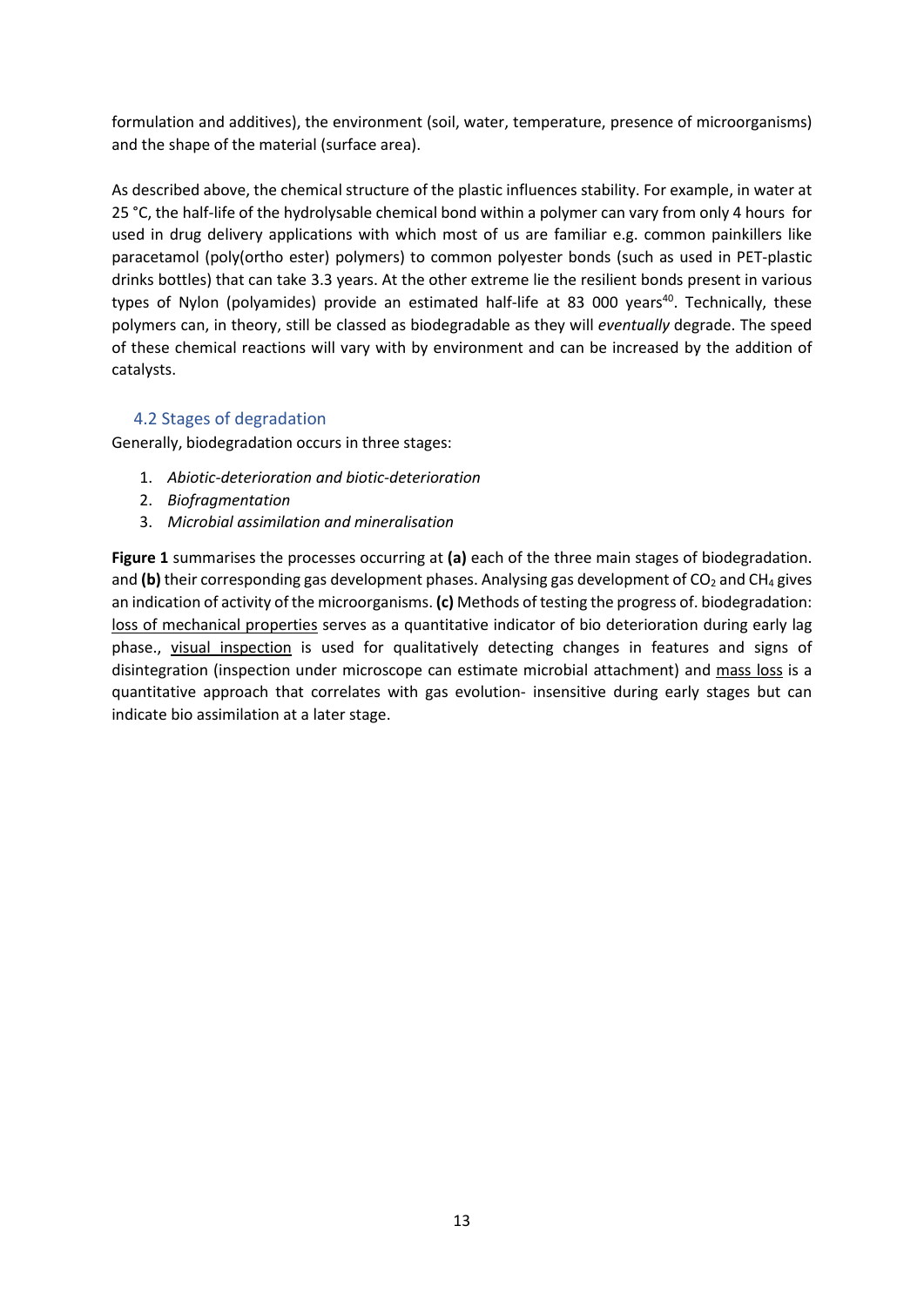formulation and additives), the environment (soil, water, temperature, presence of microorganisms) and the shape of the material (surface area).

As described above, the chemical structure of the plastic influences stability. For example, in water at 25 °C, the half-life of the hydrolysable chemical bond within a polymer can vary from only 4 hours for used in drug delivery applications with which most of us are familiar e.g. common painkillers like paracetamol (poly(ortho ester) polymers) to common polyester bonds (such as used in PET-plastic drinks bottles) that can take 3.3 years. At the other extreme lie the resilient bonds present in various types of Nylon (polyamides) provide an estimated half-life at 83 000 years<sup>40</sup>. Technically, these polymers can, in theory, still be classed as biodegradable as they will *eventually* degrade. The speed of these chemical reactions will vary with by environment and can be increased by the addition of catalysts.

### <span id="page-12-0"></span>4.2 Stages of degradation

Generally, biodegradation occurs in three stages:

- 1. *Abiotic-deterioration and biotic-deterioration*
- 2. *Biofragmentation*
- 3. *Microbial assimilation and mineralisation*

**Figure 1** summarises the processes occurring at **(a)** each of the three main stages of biodegradation. and (b) their corresponding gas development phases. Analysing gas development of  $CO<sub>2</sub>$  and CH<sub>4</sub> gives an indication of activity of the microorganisms. **(c)** Methods of testing the progress of. biodegradation: loss of mechanical properties serves as a quantitative indicator of bio deterioration during early lag phase., visual inspection is used for qualitatively detecting changes in features and signs of disintegration (inspection under microscope can estimate microbial attachment) and mass loss is a quantitative approach that correlates with gas evolution- insensitive during early stages but can indicate bio assimilation at a later stage.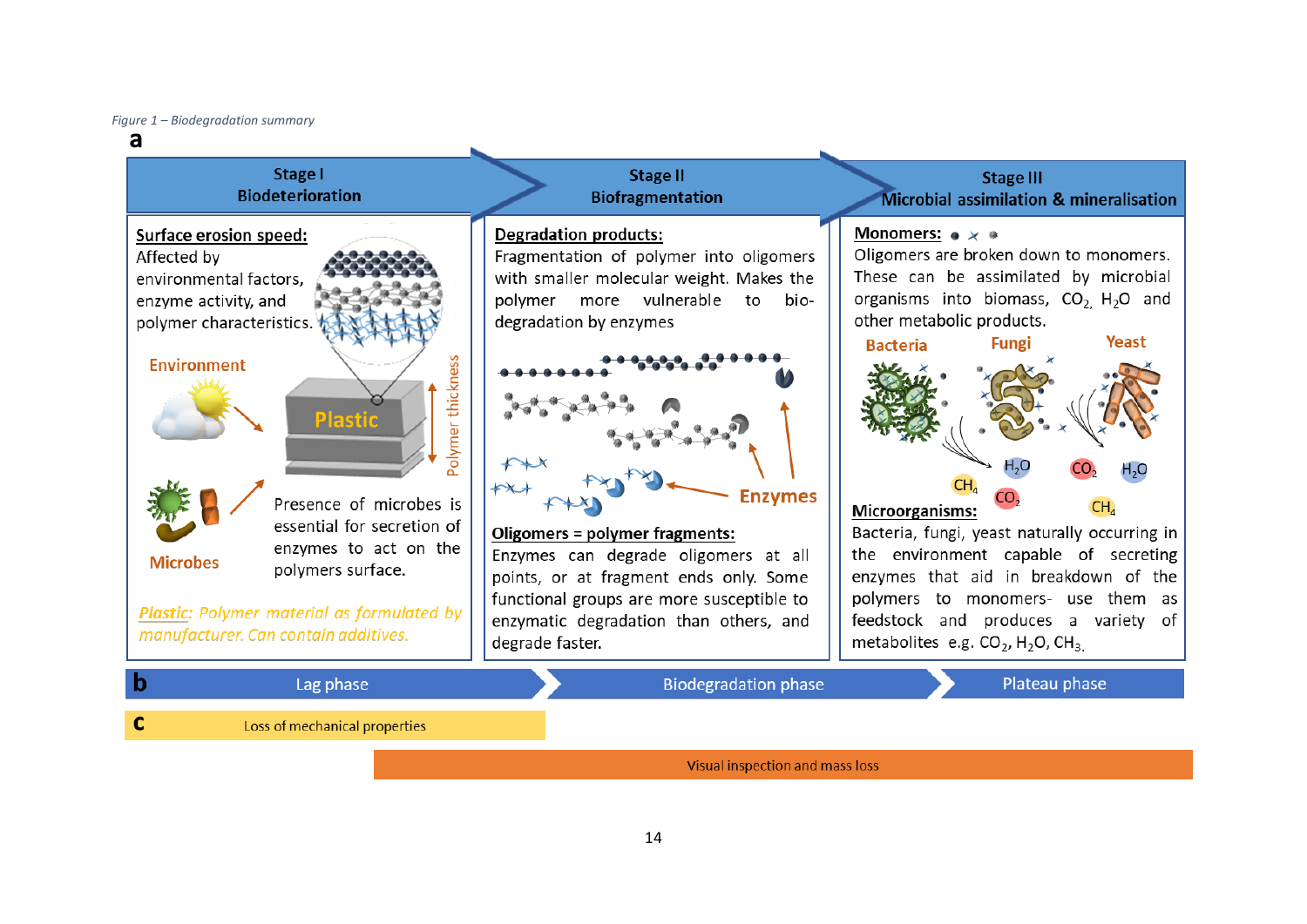*Figure 1 – Biodegradation summary*

#### a **Stage I Stage II Stage III Biodeterioration Biofragmentation** Microbial assimilation & mineralisation **Degradation products:** Monomers:  $\bullet \times \bullet$ **Surface erosion speed:** Oligomers are broken down to monomers. Fragmentation of polymer into oligomers Affected by These can be assimilated by microbial environmental factors, with smaller molecular weight. Makes the organisms into biomass,  $CO<sub>2</sub>$ , H<sub>2</sub>O and polymer more vulnerable enzyme activity, and to biopolymer characteristics. degradation by enzymes other metabolic products. Yeast **Fungi Bacteria** Polymer thickness **Environment Plastic Enzymes** Presence of microbes is CH. Microorganisms: essential for secretion of Bacteria, fungi, yeast naturally occurring in Oligomers = polymer fragments: enzymes to act on the Enzymes can degrade oligomers at all the environment capable of secreting **Microbes** polymers surface. points, or at fragment ends only. Some enzymes that aid in breakdown of the functional groups are more susceptible to polymers to monomers- use them as Plastic: Polymer material as formulated by enzymatic degradation than others, and feedstock and produces a variety of manufacturer. Can contain additives. degrade faster. metabolites e.g.  $CO_2$ , H<sub>2</sub>O, CH<sub>3</sub> **Biodegradation phase** Plateau phase Lag phase b  $\mathbf{C}$ Loss of mechanical properties

Visual inspection and mass loss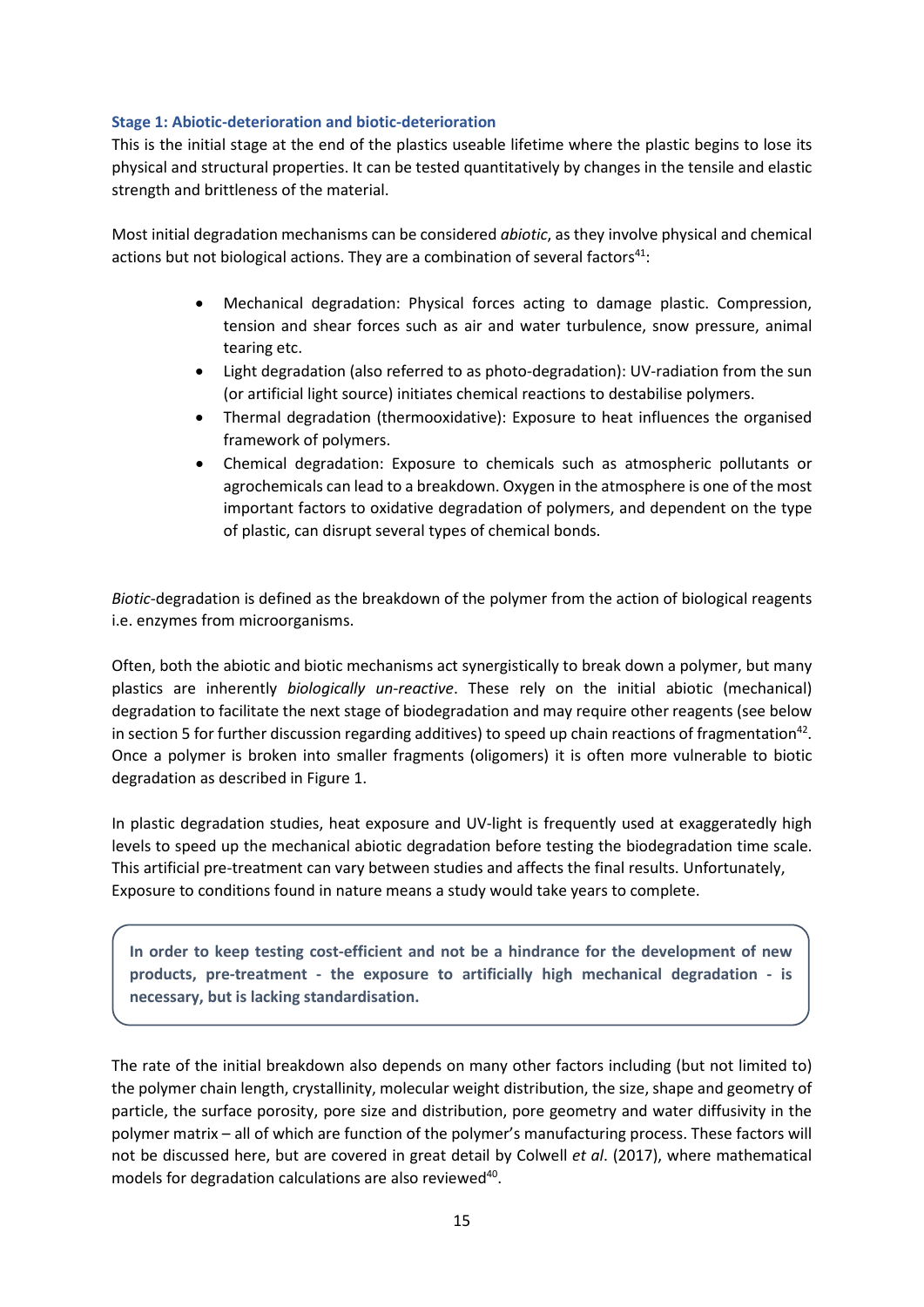### <span id="page-14-0"></span>**Stage 1: Abiotic-deterioration and biotic-deterioration**

This is the initial stage at the end of the plastics useable lifetime where the plastic begins to lose its physical and structural properties. It can be tested quantitatively by changes in the tensile and elastic strength and brittleness of the material.

Most initial degradation mechanisms can be considered *abiotic*, as they involve physical and chemical actions but not biological actions. They are a combination of several factors $41$ :

- Mechanical degradation: Physical forces acting to damage plastic. Compression, tension and shear forces such as air and water turbulence, snow pressure, animal tearing etc.
- Light degradation (also referred to as photo-degradation): UV-radiation from the sun (or artificial light source) initiates chemical reactions to destabilise polymers.
- Thermal degradation (thermooxidative): Exposure to heat influences the organised framework of polymers.
- Chemical degradation: Exposure to chemicals such as atmospheric pollutants or agrochemicals can lead to a breakdown. Oxygen in the atmosphere is one of the most important factors to oxidative degradation of polymers, and dependent on the type of plastic, can disrupt several types of chemical bonds.

*Biotic*-degradation is defined as the breakdown of the polymer from the action of biological reagents i.e. enzymes from microorganisms.

Often, both the abiotic and biotic mechanisms act synergistically to break down a polymer, but many plastics are inherently *biologically un-reactive*. These rely on the initial abiotic (mechanical) degradation to facilitate the next stage of biodegradation and may require other reagents (see below in section 5 for further discussion regarding additives) to speed up chain reactions of fragmentation<sup>42</sup>. Once a polymer is broken into smaller fragments (oligomers) it is often more vulnerable to biotic degradation as described in Figure 1.

In plastic degradation studies, heat exposure and UV-light is frequently used at exaggeratedly high levels to speed up the mechanical abiotic degradation before testing the biodegradation time scale. This artificial pre-treatment can vary between studies and affects the final results. Unfortunately, Exposure to conditions found in nature means a study would take years to complete.

**In order to keep testing cost-efficient and not be a hindrance for the development of new products, pre-treatment - the exposure to artificially high mechanical degradation - is necessary, but is lacking standardisation.** 

The rate of the initial breakdown also depends on many other factors including (but not limited to) the polymer chain length, crystallinity, molecular weight distribution, the size, shape and geometry of particle, the surface porosity, pore size and distribution, pore geometry and water diffusivity in the polymer matrix – all of which are function of the polymer's manufacturing process. These factors will not be discussed here, but are covered in great detail by Colwell *et al*. (2017), where mathematical models for degradation calculations are also reviewed<sup>40</sup>.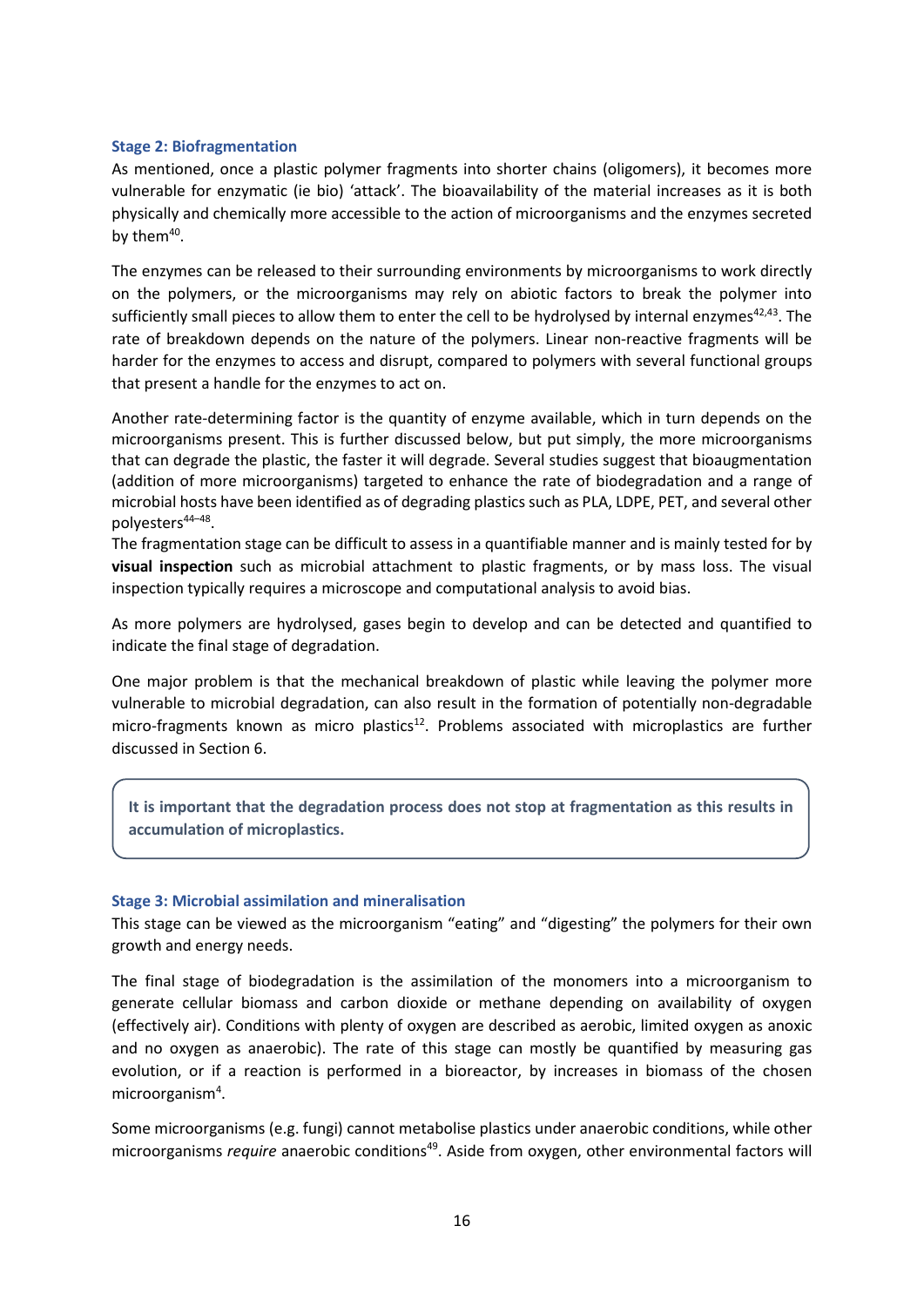### <span id="page-15-0"></span>**Stage 2: Biofragmentation**

As mentioned, once a plastic polymer fragments into shorter chains (oligomers), it becomes more vulnerable for enzymatic (ie bio) 'attack'. The bioavailability of the material increases as it is both physically and chemically more accessible to the action of microorganisms and the enzymes secreted by the $m^{40}$ .

The enzymes can be released to their surrounding environments by microorganisms to work directly on the polymers, or the microorganisms may rely on abiotic factors to break the polymer into sufficiently small pieces to allow them to enter the cell to be hydrolysed by internal enzymes<sup>42,43</sup>. The rate of breakdown depends on the nature of the polymers. Linear non-reactive fragments will be harder for the enzymes to access and disrupt, compared to polymers with several functional groups that present a handle for the enzymes to act on.

Another rate-determining factor is the quantity of enzyme available, which in turn depends on the microorganisms present. This is further discussed below, but put simply, the more microorganisms that can degrade the plastic, the faster it will degrade. Several studies suggest that bioaugmentation (addition of more microorganisms) targeted to enhance the rate of biodegradation and a range of microbial hosts have been identified as of degrading plastics such as PLA, LDPE, PET, and several other polyesters<sup>44–48</sup>.

The fragmentation stage can be difficult to assess in a quantifiable manner and is mainly tested for by **visual inspection** such as microbial attachment to plastic fragments, or by mass loss. The visual inspection typically requires a microscope and computational analysis to avoid bias.

As more polymers are hydrolysed, gases begin to develop and can be detected and quantified to indicate the final stage of degradation.

One major problem is that the mechanical breakdown of plastic while leaving the polymer more vulnerable to microbial degradation, can also result in the formation of potentially non-degradable micro-fragments known as micro plastics<sup>12</sup>. Problems associated with microplastics are further discussed in Section 6.

**It is important that the degradation process does not stop at fragmentation as this results in accumulation of microplastics.**

### <span id="page-15-1"></span>**Stage 3: Microbial assimilation and mineralisation**

This stage can be viewed as the microorganism "eating" and "digesting" the polymers for their own growth and energy needs.

The final stage of biodegradation is the assimilation of the monomers into a microorganism to generate cellular biomass and carbon dioxide or methane depending on availability of oxygen (effectively air). Conditions with plenty of oxygen are described as aerobic, limited oxygen as anoxic and no oxygen as anaerobic). The rate of this stage can mostly be quantified by measuring gas evolution, or if a reaction is performed in a bioreactor, by increases in biomass of the chosen microorganism<sup>4</sup>.

Some microorganisms (e.g. fungi) cannot metabolise plastics under anaerobic conditions, while other microorganisms *require* anaerobic conditions<sup>49</sup>. Aside from oxygen, other environmental factors will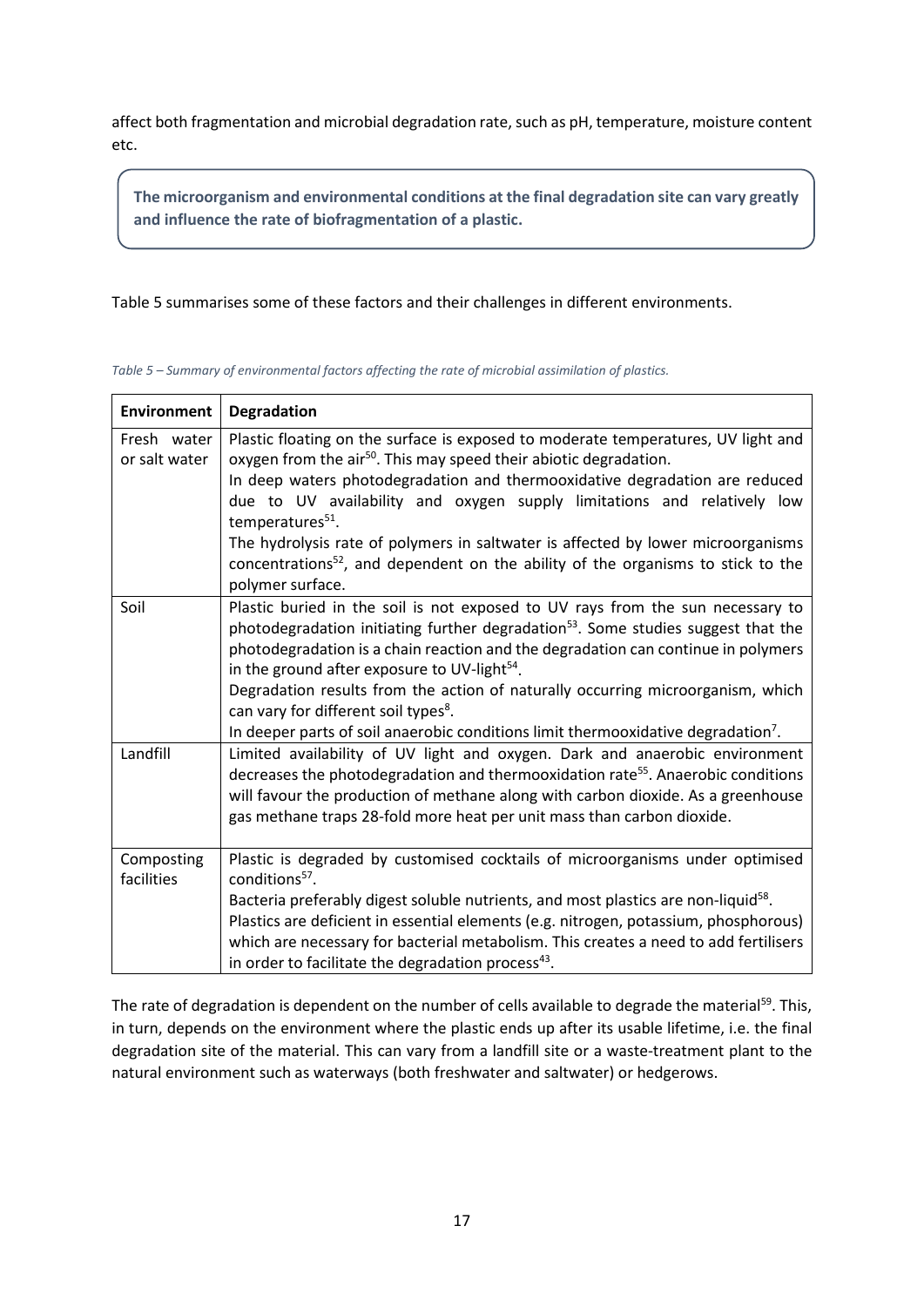affect both fragmentation and microbial degradation rate, such as pH, temperature, moisture content etc.

**The microorganism and environmental conditions at the final degradation site can vary greatly and influence the rate of biofragmentation of a plastic.**

Table 5 summarises some of these factors and their challenges in different environments.

| <b>Environment</b>           | Degradation                                                                                                                                                                                                                                                                                                                                                                                                                                                                                                                                                              |
|------------------------------|--------------------------------------------------------------------------------------------------------------------------------------------------------------------------------------------------------------------------------------------------------------------------------------------------------------------------------------------------------------------------------------------------------------------------------------------------------------------------------------------------------------------------------------------------------------------------|
| Fresh water<br>or salt water | Plastic floating on the surface is exposed to moderate temperatures, UV light and<br>oxygen from the air <sup>50</sup> . This may speed their abiotic degradation.<br>In deep waters photodegradation and thermooxidative degradation are reduced<br>due to UV availability and oxygen supply limitations and relatively low<br>temperatures <sup>51</sup> .<br>The hydrolysis rate of polymers in saltwater is affected by lower microorganisms<br>concentrations <sup>52</sup> , and dependent on the ability of the organisms to stick to the<br>polymer surface.     |
| Soil                         | Plastic buried in the soil is not exposed to UV rays from the sun necessary to<br>photodegradation initiating further degradation <sup>53</sup> . Some studies suggest that the<br>photodegradation is a chain reaction and the degradation can continue in polymers<br>in the ground after exposure to UV-light <sup>54</sup> .<br>Degradation results from the action of naturally occurring microorganism, which<br>can vary for different soil types <sup>8</sup> .<br>In deeper parts of soil anaerobic conditions limit thermooxidative degradation <sup>7</sup> . |
| Landfill                     | Limited availability of UV light and oxygen. Dark and anaerobic environment<br>decreases the photodegradation and thermooxidation rate <sup>55</sup> . Anaerobic conditions<br>will favour the production of methane along with carbon dioxide. As a greenhouse<br>gas methane traps 28-fold more heat per unit mass than carbon dioxide.                                                                                                                                                                                                                                |
| Composting<br>facilities     | Plastic is degraded by customised cocktails of microorganisms under optimised<br>conditions <sup>57</sup> .<br>Bacteria preferably digest soluble nutrients, and most plastics are non-liquid <sup>58</sup> .<br>Plastics are deficient in essential elements (e.g. nitrogen, potassium, phosphorous)<br>which are necessary for bacterial metabolism. This creates a need to add fertilisers<br>in order to facilitate the degradation process <sup>43</sup> .                                                                                                          |

*Table 5 – Summary of environmental factors affecting the rate of microbial assimilation of plastics.*

The rate of degradation is dependent on the number of cells available to degrade the material<sup>59</sup>. This, in turn, depends on the environment where the plastic ends up after its usable lifetime, i.e. the final degradation site of the material. This can vary from a landfill site or a waste-treatment plant to the natural environment such as waterways (both freshwater and saltwater) or hedgerows.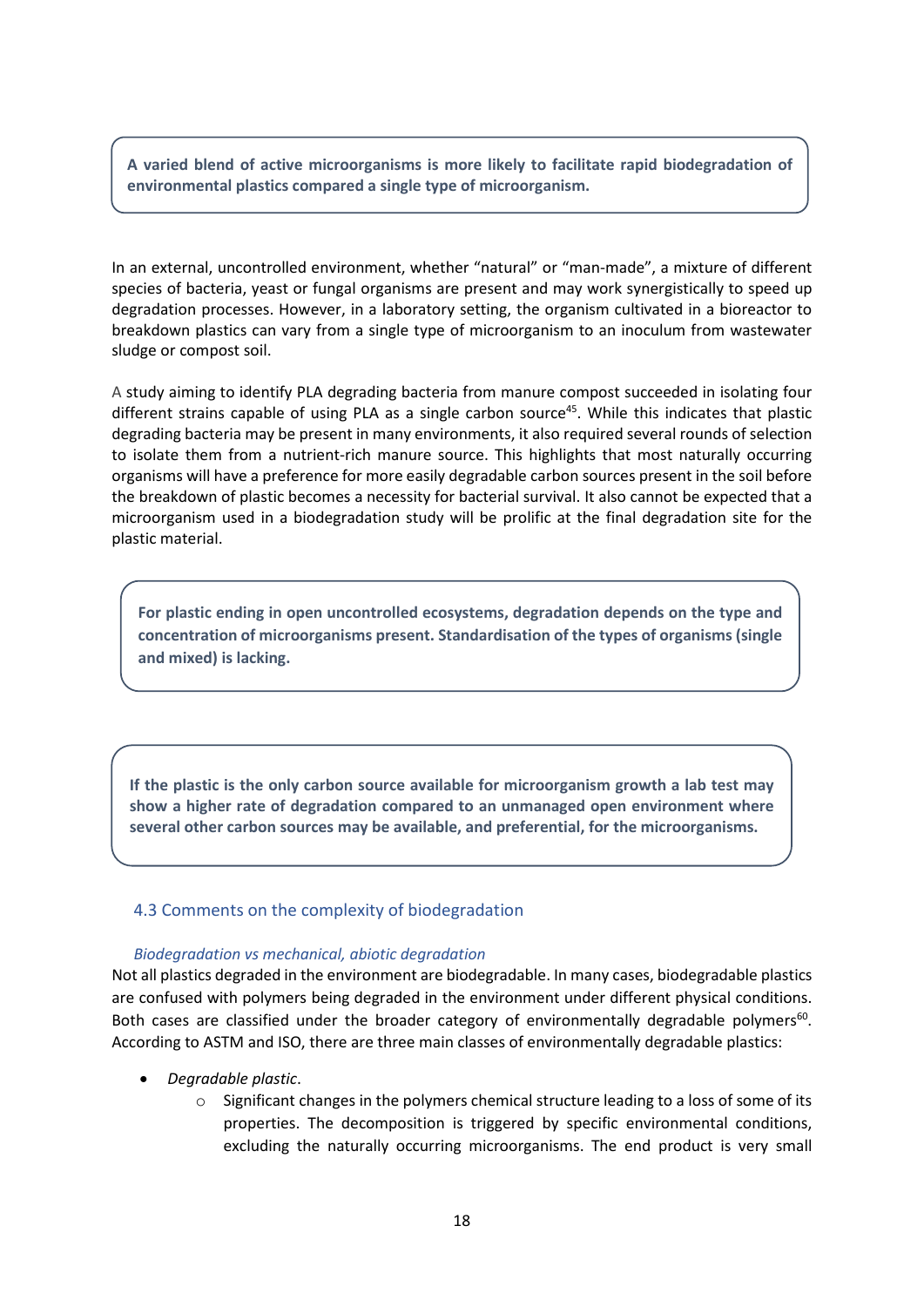**A varied blend of active microorganisms is more likely to facilitate rapid biodegradation of environmental plastics compared a single type of microorganism.** 

In an external, uncontrolled environment, whether "natural" or "man-made", a mixture of different species of bacteria, yeast or fungal organisms are present and may work synergistically to speed up degradation processes. However, in a laboratory setting, the organism cultivated in a bioreactor to breakdown plastics can vary from a single type of microorganism to an inoculum from wastewater sludge or compost soil.

A study aiming to identify PLA degrading bacteria from manure compost succeeded in isolating four different strains capable of using PLA as a single carbon source<sup>45</sup>. While this indicates that plastic degrading bacteria may be present in many environments, it also required several rounds of selection to isolate them from a nutrient-rich manure source. This highlights that most naturally occurring organisms will have a preference for more easily degradable carbon sources present in the soil before the breakdown of plastic becomes a necessity for bacterial survival. It also cannot be expected that a microorganism used in a biodegradation study will be prolific at the final degradation site for the plastic material.

**For plastic ending in open uncontrolled ecosystems, degradation depends on the type and concentration of microorganisms present. Standardisation of the types of organisms (single and mixed) is lacking.**

**If the plastic is the only carbon source available for microorganism growth a lab test may show a higher rate of degradation compared to an unmanaged open environment where several other carbon sources may be available, and preferential, for the microorganisms.**

### <span id="page-17-0"></span>4.3 Comments on the complexity of biodegradation

### *Biodegradation vs mechanical, abiotic degradation*

Not all plastics degraded in the environment are biodegradable. In many cases, biodegradable plastics are confused with polymers being degraded in the environment under different physical conditions. Both cases are classified under the broader category of environmentally degradable polymers<sup>60</sup>. According to ASTM and ISO, there are three main classes of environmentally degradable plastics:

- *Degradable plastic*.
	- $\circ$  Significant changes in the polymers chemical structure leading to a loss of some of its properties. The decomposition is triggered by specific environmental conditions, excluding the naturally occurring microorganisms. The end product is very small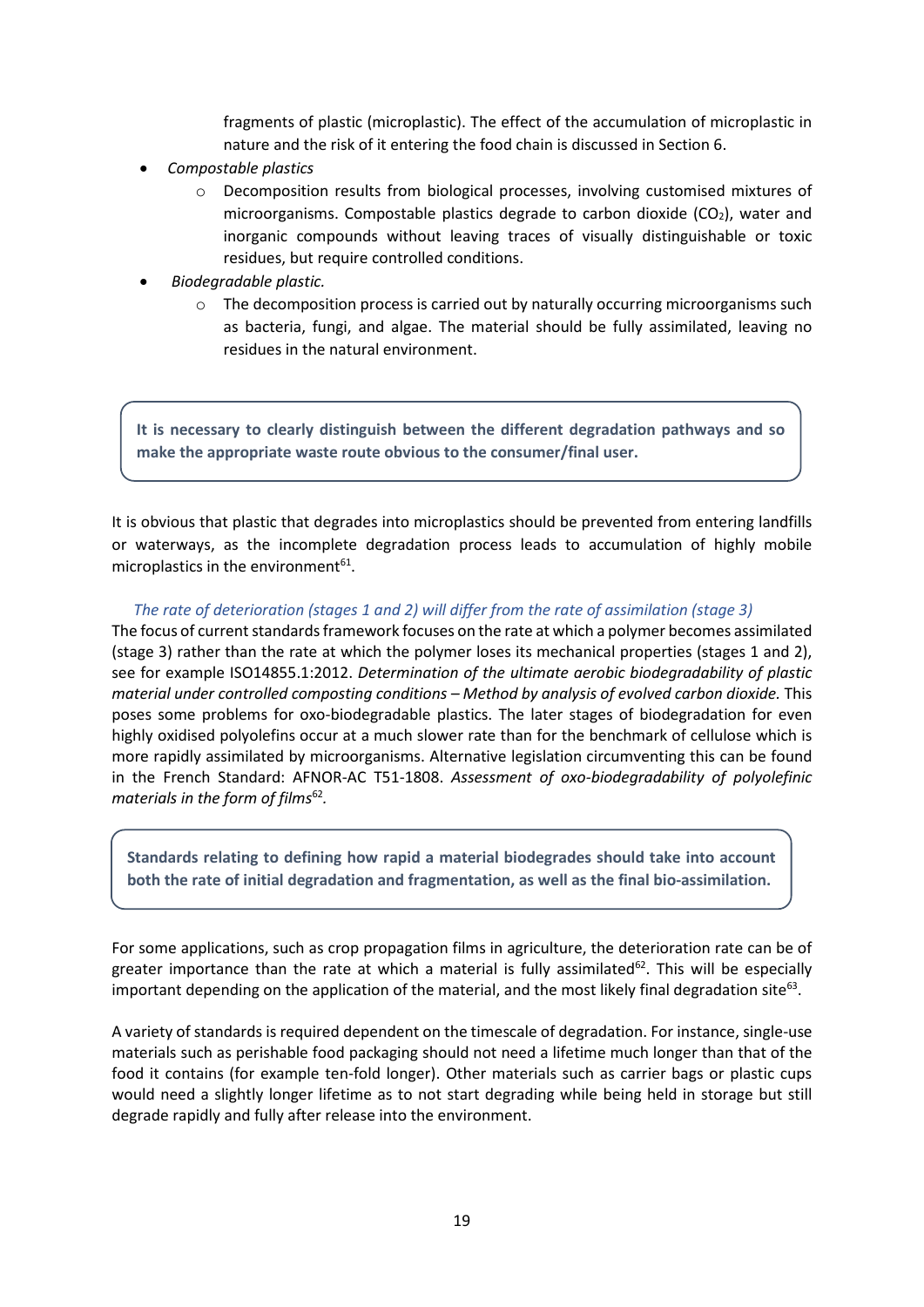fragments of plastic (microplastic). The effect of the accumulation of microplastic in nature and the risk of it entering the food chain is discussed in Section 6.

- *Compostable plastics*
	- o Decomposition results from biological processes, involving customised mixtures of microorganisms. Compostable plastics degrade to carbon dioxide ( $CO<sub>2</sub>$ ), water and inorganic compounds without leaving traces of visually distinguishable or toxic residues, but require controlled conditions.
- *Biodegradable plastic.* 
	- $\circ$  The decomposition process is carried out by naturally occurring microorganisms such as bacteria, fungi, and algae. The material should be fully assimilated, leaving no residues in the natural environment.

**It is necessary to clearly distinguish between the different degradation pathways and so make the appropriate waste route obvious to the consumer/final user.**

It is obvious that plastic that degrades into microplastics should be prevented from entering landfills or waterways, as the incomplete degradation process leads to accumulation of highly mobile microplastics in the environment $61$ .

### *The rate of deterioration (stages 1 and 2) will differ from the rate of assimilation (stage 3)*

The focus of current standards framework focuses on the rate at which a polymer becomes assimilated (stage 3) rather than the rate at which the polymer loses its mechanical properties (stages 1 and 2), see for example ISO14855.1:2012. *Determination of the ultimate aerobic biodegradability of plastic material under controlled composting conditions – Method by analysis of evolved carbon dioxide.* This poses some problems for oxo-biodegradable plastics. The later stages of biodegradation for even highly oxidised polyolefins occur at a much slower rate than for the benchmark of cellulose which is more rapidly assimilated by microorganisms. Alternative legislation circumventing this can be found in the French Standard: AFNOR-AC T51-1808. *Assessment of oxo-biodegradability of polyolefinic materials in the form of films*<sup>62</sup>.

**Standards relating to defining how rapid a material biodegrades should take into account both the rate of initial degradation and fragmentation, as well as the final bio-assimilation.**

For some applications, such as crop propagation films in agriculture, the deterioration rate can be of greater importance than the rate at which a material is fully assimilated<sup>62</sup>. This will be especially important depending on the application of the material, and the most likely final degradation site<sup>63</sup>.

A variety of standards is required dependent on the timescale of degradation. For instance, single-use materials such as perishable food packaging should not need a lifetime much longer than that of the food it contains (for example ten-fold longer). Other materials such as carrier bags or plastic cups would need a slightly longer lifetime as to not start degrading while being held in storage but still degrade rapidly and fully after release into the environment.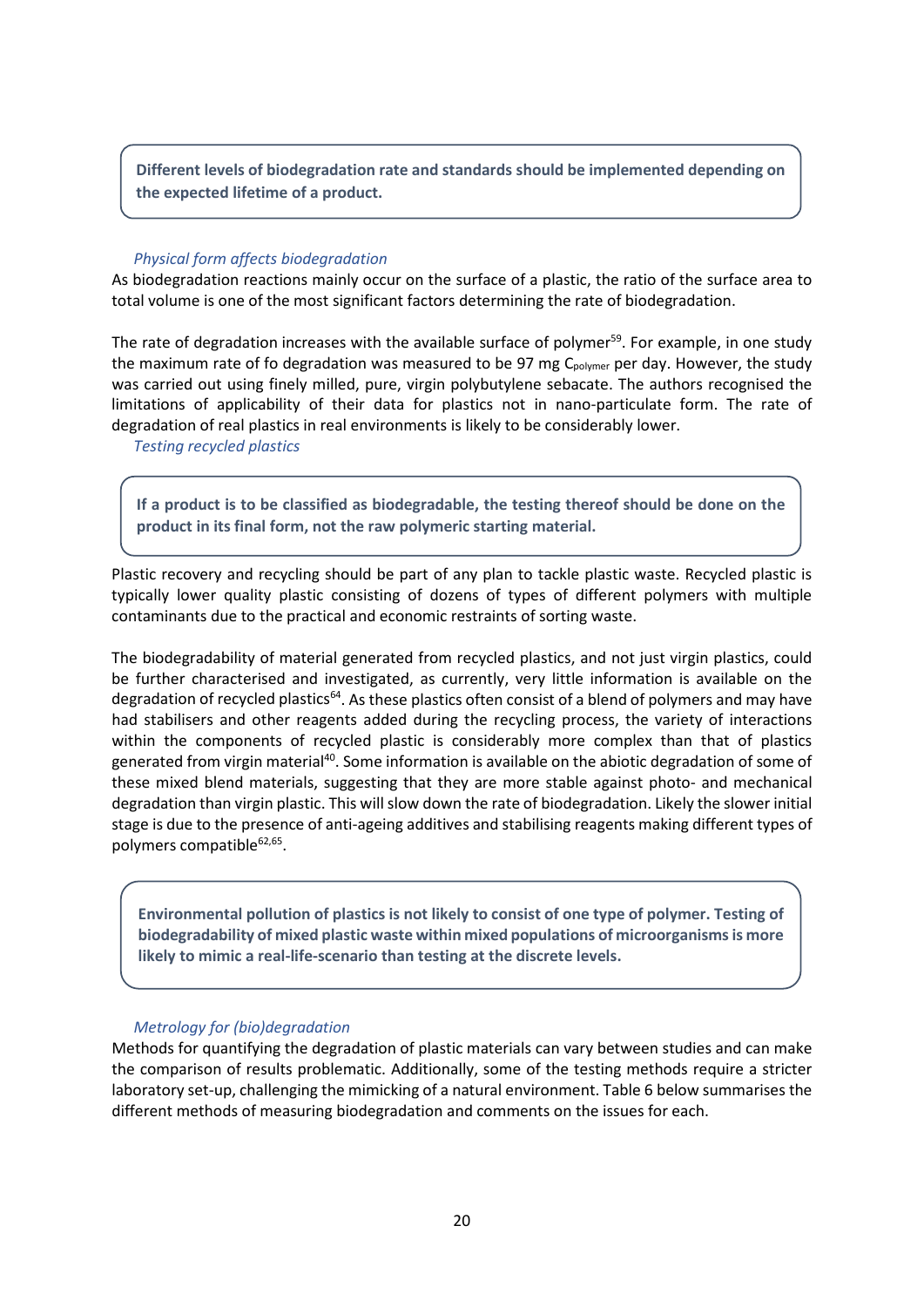**Different levels of biodegradation rate and standards should be implemented depending on the expected lifetime of a product.**

### *Physical form affects biodegradation*

As biodegradation reactions mainly occur on the surface of a plastic, the ratio of the surface area to total volume is one of the most significant factors determining the rate of biodegradation.

The rate of degradation increases with the available surface of polymer<sup>59</sup>. For example, in one study the maximum rate of fo degradation was measured to be 97 mg C<sub>polymer</sub> per day. However, the study was carried out using finely milled, pure, virgin polybutylene sebacate. The authors recognised the limitations of applicability of their data for plastics not in nano-particulate form. The rate of degradation of real plastics in real environments is likely to be considerably lower.

### *Testing recycled plastics*

**If a product is to be classified as biodegradable, the testing thereof should be done on the product in its final form, not the raw polymeric starting material.**

Plastic recovery and recycling should be part of any plan to tackle plastic waste. Recycled plastic is typically lower quality plastic consisting of dozens of types of different polymers with multiple contaminants due to the practical and economic restraints of sorting waste.

The biodegradability of material generated from recycled plastics, and not just virgin plastics, could be further characterised and investigated, as currently, very little information is available on the degradation of recycled plastics<sup>64</sup>. As these plastics often consist of a blend of polymers and may have had stabilisers and other reagents added during the recycling process, the variety of interactions within the components of recycled plastic is considerably more complex than that of plastics generated from virgin material40. Some information is available on the abiotic degradation of some of these mixed blend materials, suggesting that they are more stable against photo- and mechanical degradation than virgin plastic. This will slow down the rate of biodegradation. Likely the slower initial stage is due to the presence of anti-ageing additives and stabilising reagents making different types of polymers compatible $62,65$ .

**Environmental pollution of plastics is not likely to consist of one type of polymer. Testing of biodegradability of mixed plastic waste within mixed populations of microorganisms is more likely to mimic a real-life-scenario than testing at the discrete levels.**

### *Metrology for (bio)degradation*

Methods for quantifying the degradation of plastic materials can vary between studies and can make the comparison of results problematic. Additionally, some of the testing methods require a stricter laboratory set-up, challenging the mimicking of a natural environment. Table 6 below summarises the different methods of measuring biodegradation and comments on the issues for each.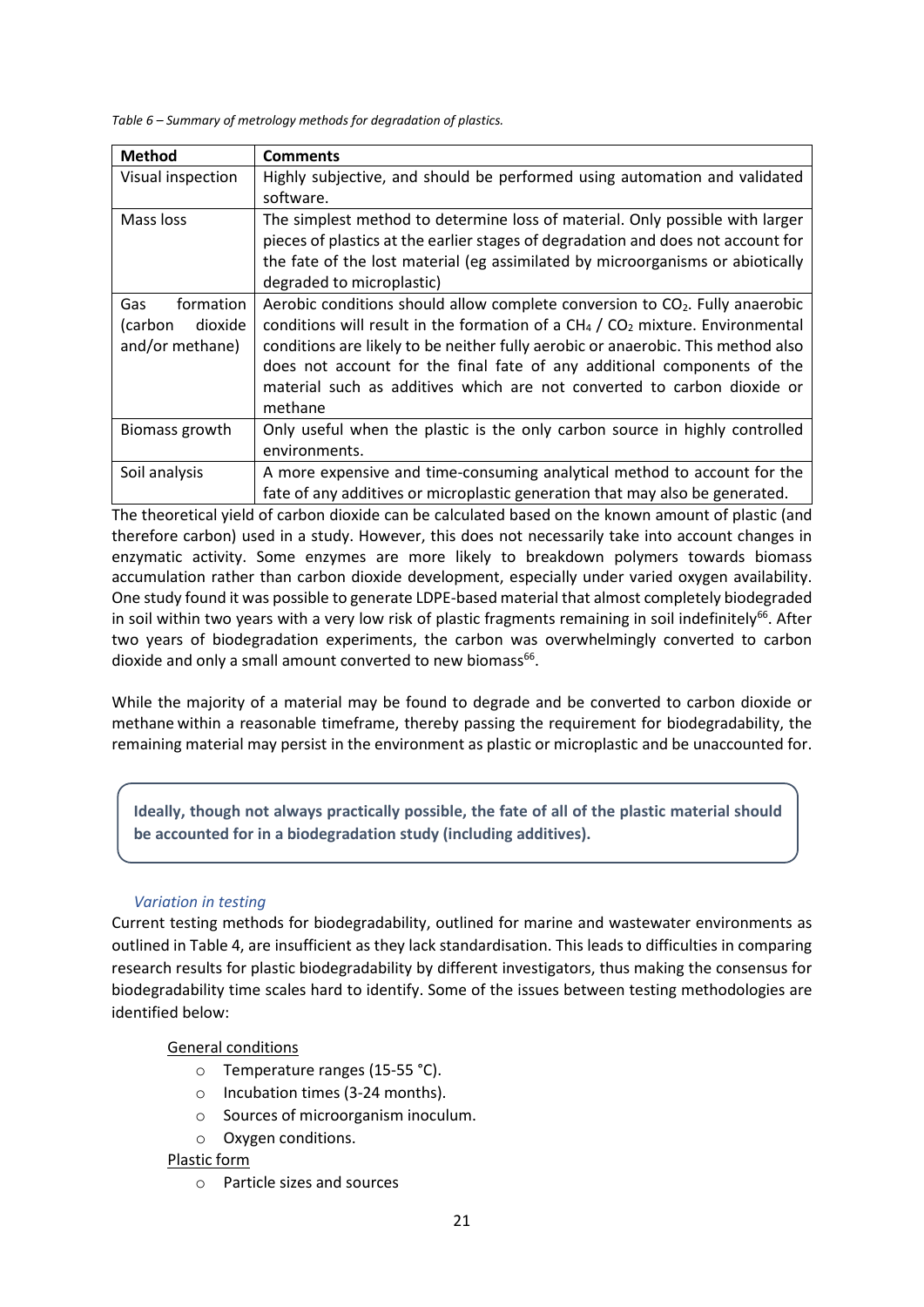*Table 6 – Summary of metrology methods for degradation of plastics.*

| <b>Method</b>      | <b>Comments</b>                                                                          |
|--------------------|------------------------------------------------------------------------------------------|
| Visual inspection  | Highly subjective, and should be performed using automation and validated                |
|                    | software.                                                                                |
| Mass loss          | The simplest method to determine loss of material. Only possible with larger             |
|                    | pieces of plastics at the earlier stages of degradation and does not account for         |
|                    | the fate of the lost material (eg assimilated by microorganisms or abiotically           |
|                    | degraded to microplastic)                                                                |
| formation<br>Gas   | Aerobic conditions should allow complete conversion to CO <sub>2</sub> . Fully anaerobic |
| dioxide<br>(carbon | conditions will result in the formation of a $CH4 / CO2$ mixture. Environmental          |
| and/or methane)    | conditions are likely to be neither fully aerobic or anaerobic. This method also         |
|                    | does not account for the final fate of any additional components of the                  |
|                    | material such as additives which are not converted to carbon dioxide or                  |
|                    | methane                                                                                  |
| Biomass growth     | Only useful when the plastic is the only carbon source in highly controlled              |
|                    | environments.                                                                            |
| Soil analysis      | A more expensive and time-consuming analytical method to account for the                 |
|                    | fate of any additives or microplastic generation that may also be generated.             |

The theoretical yield of carbon dioxide can be calculated based on the known amount of plastic (and therefore carbon) used in a study. However, this does not necessarily take into account changes in enzymatic activity. Some enzymes are more likely to breakdown polymers towards biomass accumulation rather than carbon dioxide development, especially under varied oxygen availability. One study found it was possible to generate LDPE-based material that almost completely biodegraded in soil within two years with a very low risk of plastic fragments remaining in soil indefinitely<sup>66</sup>. After two years of biodegradation experiments, the carbon was overwhelmingly converted to carbon dioxide and only a small amount converted to new biomass<sup>66</sup>.

While the majority of a material may be found to degrade and be converted to carbon dioxide or methane within a reasonable timeframe, thereby passing the requirement for biodegradability, the remaining material may persist in the environment as plastic or microplastic and be unaccounted for.

**Ideally, though not always practically possible, the fate of all of the plastic material should be accounted for in a biodegradation study (including additives).**

### *Variation in testing*

Current testing methods for biodegradability, outlined for marine and wastewater environments as outlined in Table 4, are insufficient as they lack standardisation. This leads to difficulties in comparing research results for plastic biodegradability by different investigators, thus making the consensus for biodegradability time scales hard to identify. Some of the issues between testing methodologies are identified below:

### General conditions

- o Temperature ranges (15-55 °C).
- o Incubation times (3-24 months).
- o Sources of microorganism inoculum.
- o Oxygen conditions.

### Plastic form

o Particle sizes and sources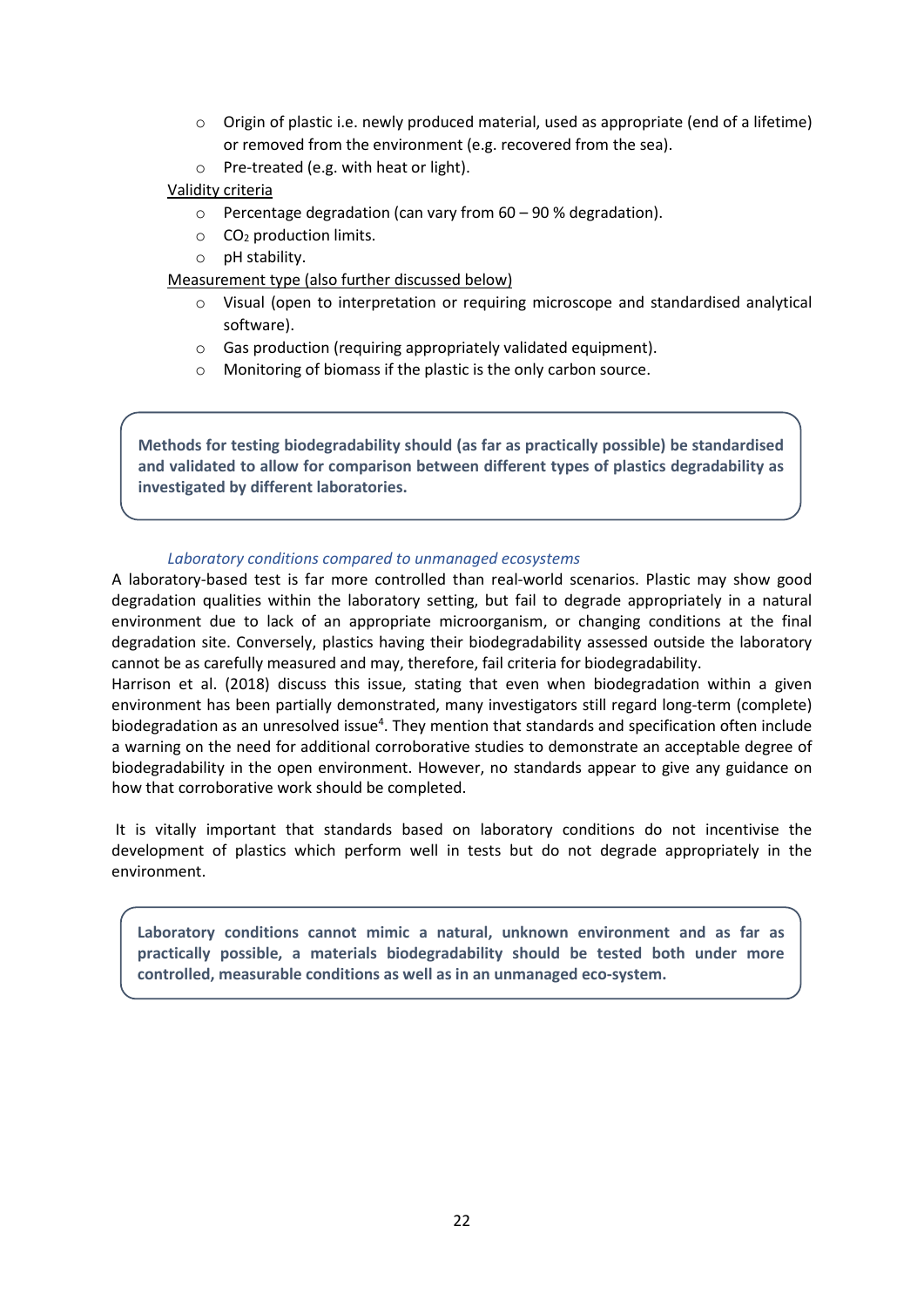- $\circ$  Origin of plastic i.e. newly produced material, used as appropriate (end of a lifetime) or removed from the environment (e.g. recovered from the sea).
- o Pre-treated (e.g. with heat or light).

### Validity criteria

- o Percentage degradation (can vary from 60 90 % degradation).
- $\circ$  CO<sub>2</sub> production limits.
- o pH stability.

### Measurement type (also further discussed below)

- o Visual (open to interpretation or requiring microscope and standardised analytical software).
- o Gas production (requiring appropriately validated equipment).
- o Monitoring of biomass if the plastic is the only carbon source.

**Methods for testing biodegradability should (as far as practically possible) be standardised and validated to allow for comparison between different types of plastics degradability as investigated by different laboratories.**

### *Laboratory conditions compared to unmanaged ecosystems*

A laboratory-based test is far more controlled than real-world scenarios. Plastic may show good degradation qualities within the laboratory setting, but fail to degrade appropriately in a natural environment due to lack of an appropriate microorganism, or changing conditions at the final degradation site. Conversely, plastics having their biodegradability assessed outside the laboratory cannot be as carefully measured and may, therefore, fail criteria for biodegradability.

Harrison et al. (2018) discuss this issue, stating that even when biodegradation within a given environment has been partially demonstrated, many investigators still regard long-term (complete) biodegradation as an unresolved issue<sup>4</sup>. They mention that standards and specification often include a warning on the need for additional corroborative studies to demonstrate an acceptable degree of biodegradability in the open environment. However, no standards appear to give any guidance on how that corroborative work should be completed.

It is vitally important that standards based on laboratory conditions do not incentivise the development of plastics which perform well in tests but do not degrade appropriately in the environment.

**Laboratory conditions cannot mimic a natural, unknown environment and as far as practically possible, a materials biodegradability should be tested both under more controlled, measurable conditions as well as in an unmanaged eco-system.**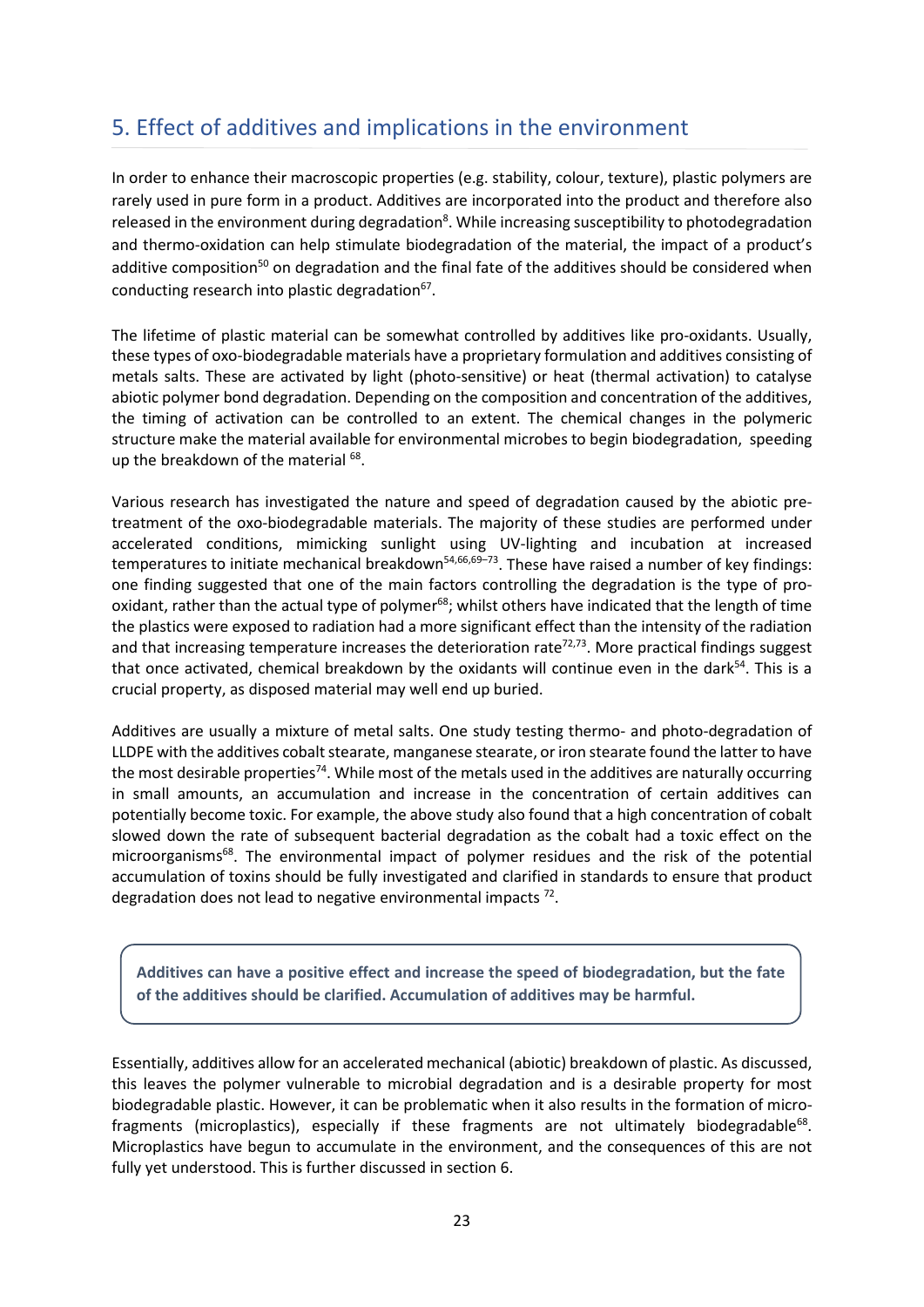# <span id="page-22-0"></span>5. Effect of additives and implications in the environment

In order to enhance their macroscopic properties (e.g. stability, colour, texture), plastic polymers are rarely used in pure form in a product. Additives are incorporated into the product and therefore also released in the environment during degradation<sup>8</sup>. While increasing susceptibility to photodegradation and thermo-oxidation can help stimulate biodegradation of the material, the impact of a product's additive composition<sup>50</sup> on degradation and the final fate of the additives should be considered when conducting research into plastic degradation $67$ .

The lifetime of plastic material can be somewhat controlled by additives like pro-oxidants. Usually, these types of oxo-biodegradable materials have a proprietary formulation and additives consisting of metals salts. These are activated by light (photo-sensitive) or heat (thermal activation) to catalyse abiotic polymer bond degradation. Depending on the composition and concentration of the additives, the timing of activation can be controlled to an extent. The chemical changes in the polymeric structure make the material available for environmental microbes to begin biodegradation, speeding up the breakdown of the material <sup>68</sup>.

Various research has investigated the nature and speed of degradation caused by the abiotic pretreatment of the oxo-biodegradable materials. The majority of these studies are performed under accelerated conditions, mimicking sunlight using UV-lighting and incubation at increased temperatures to initiate mechanical breakdown<sup>54,66,69-73</sup>. These have raised a number of key findings: one finding suggested that one of the main factors controlling the degradation is the type of prooxidant, rather than the actual type of polymer<sup>68</sup>; whilst others have indicated that the length of time the plastics were exposed to radiation had a more significant effect than the intensity of the radiation and that increasing temperature increases the deterioration rate<sup>72,73</sup>. More practical findings suggest that once activated, chemical breakdown by the oxidants will continue even in the dark $54$ . This is a crucial property, as disposed material may well end up buried.

Additives are usually a mixture of metal salts. One study testing thermo- and photo-degradation of LLDPE with the additives cobalt stearate, manganese stearate, or iron stearate found the latter to have the most desirable properties<sup>74</sup>. While most of the metals used in the additives are naturally occurring in small amounts, an accumulation and increase in the concentration of certain additives can potentially become toxic. For example, the above study also found that a high concentration of cobalt slowed down the rate of subsequent bacterial degradation as the cobalt had a toxic effect on the microorganisms<sup>68</sup>. The environmental impact of polymer residues and the risk of the potential accumulation of toxins should be fully investigated and clarified in standards to ensure that product degradation does not lead to negative environmental impacts  $72$ .

**Additives can have a positive effect and increase the speed of biodegradation, but the fate of the additives should be clarified. Accumulation of additives may be harmful.**

Essentially, additives allow for an accelerated mechanical (abiotic) breakdown of plastic. As discussed, this leaves the polymer vulnerable to microbial degradation and is a desirable property for most biodegradable plastic. However, it can be problematic when it also results in the formation of microfragments (microplastics), especially if these fragments are not ultimately biodegradable<sup>68</sup>. Microplastics have begun to accumulate in the environment, and the consequences of this are not fully yet understood. This is further discussed in section 6.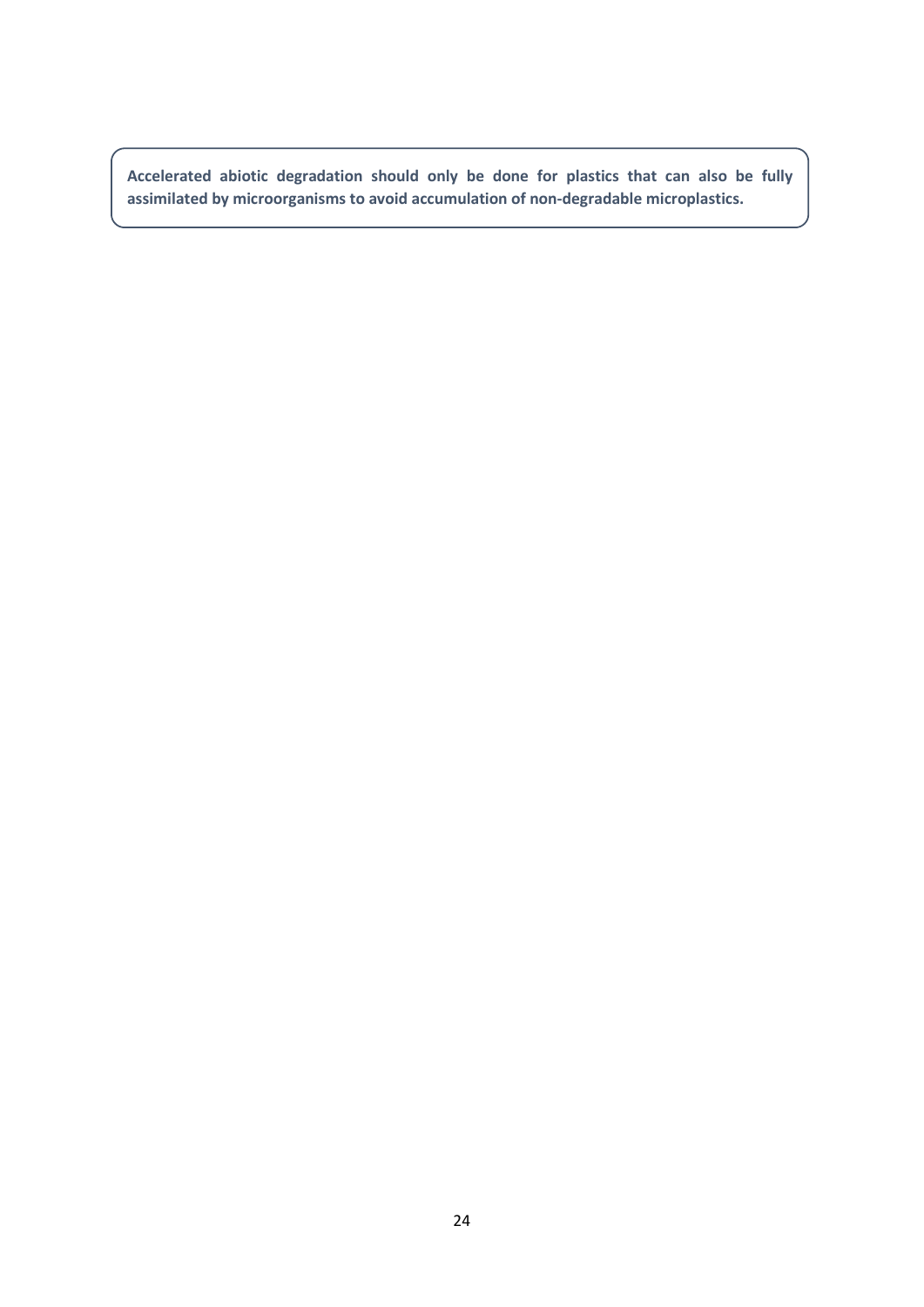**Accelerated abiotic degradation should only be done for plastics that can also be fully assimilated by microorganisms to avoid accumulation of non-degradable microplastics.**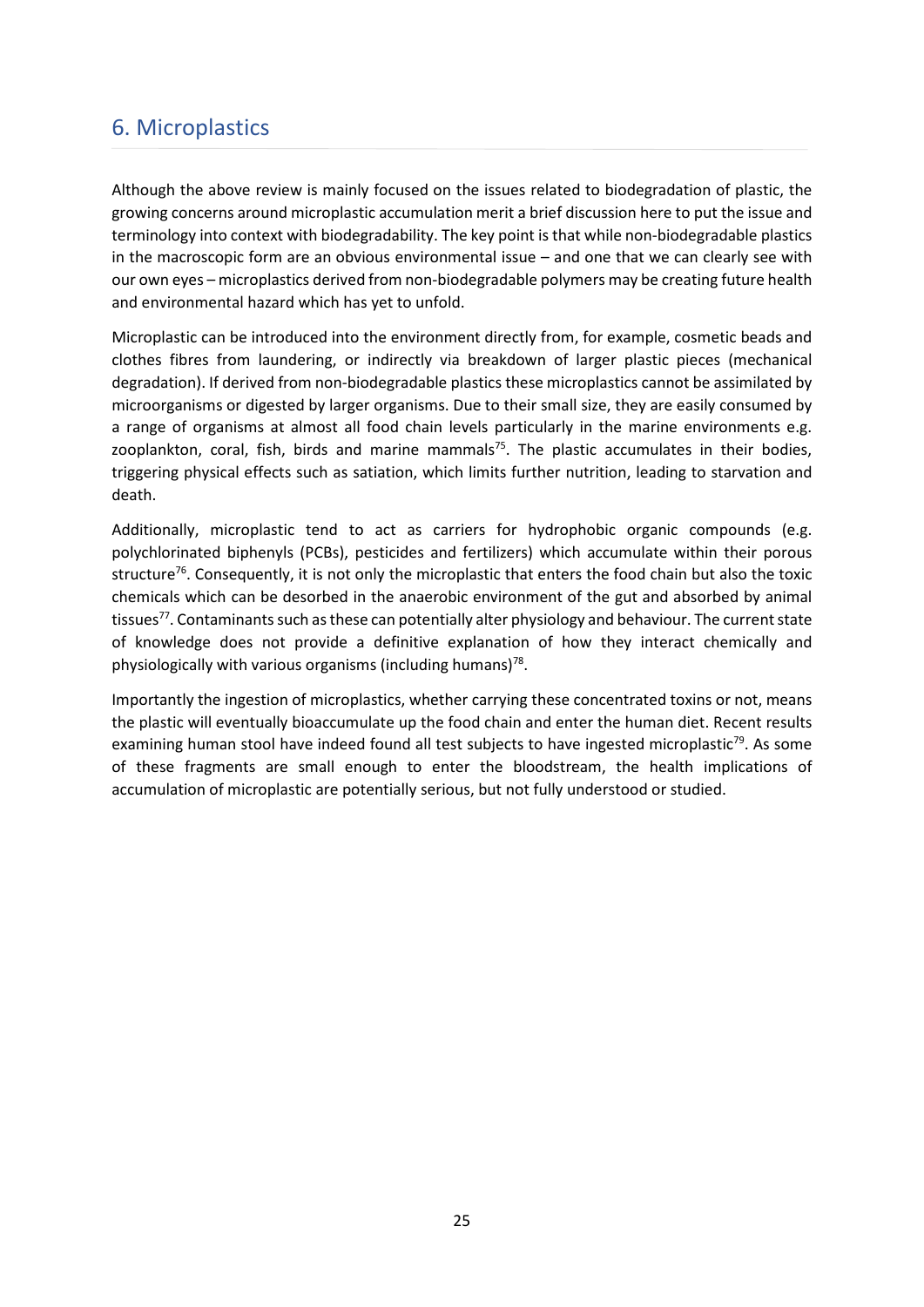## <span id="page-24-0"></span>6. Microplastics

Although the above review is mainly focused on the issues related to biodegradation of plastic, the growing concerns around microplastic accumulation merit a brief discussion here to put the issue and terminology into context with biodegradability. The key point is that while non-biodegradable plastics in the macroscopic form are an obvious environmental issue – and one that we can clearly see with our own eyes – microplastics derived from non-biodegradable polymers may be creating future health and environmental hazard which has yet to unfold.

Microplastic can be introduced into the environment directly from, for example, cosmetic beads and clothes fibres from laundering, or indirectly via breakdown of larger plastic pieces (mechanical degradation). If derived from non-biodegradable plastics these microplastics cannot be assimilated by microorganisms or digested by larger organisms. Due to their small size, they are easily consumed by a range of organisms at almost all food chain levels particularly in the marine environments e.g. zooplankton, coral, fish, birds and marine mammals<sup>75</sup>. The plastic accumulates in their bodies, triggering physical effects such as satiation, which limits further nutrition, leading to starvation and death.

Additionally, microplastic tend to act as carriers for hydrophobic organic compounds (e.g. polychlorinated biphenyls (PCBs), pesticides and fertilizers) which accumulate within their porous structure<sup>76</sup>. Consequently, it is not only the microplastic that enters the food chain but also the toxic chemicals which can be desorbed in the anaerobic environment of the gut and absorbed by animal tissues<sup>77</sup>. Contaminants such as these can potentially alter physiology and behaviour. The current state of knowledge does not provide a definitive explanation of how they interact chemically and physiologically with various organisms (including humans) $78$ .

Importantly the ingestion of microplastics, whether carrying these concentrated toxins or not, means the plastic will eventually bioaccumulate up the food chain and enter the human diet. Recent results examining human stool have indeed found all test subjects to have ingested microplastic<sup>79</sup>. As some of these fragments are small enough to enter the bloodstream, the health implications of accumulation of microplastic are potentially serious, but not fully understood or studied.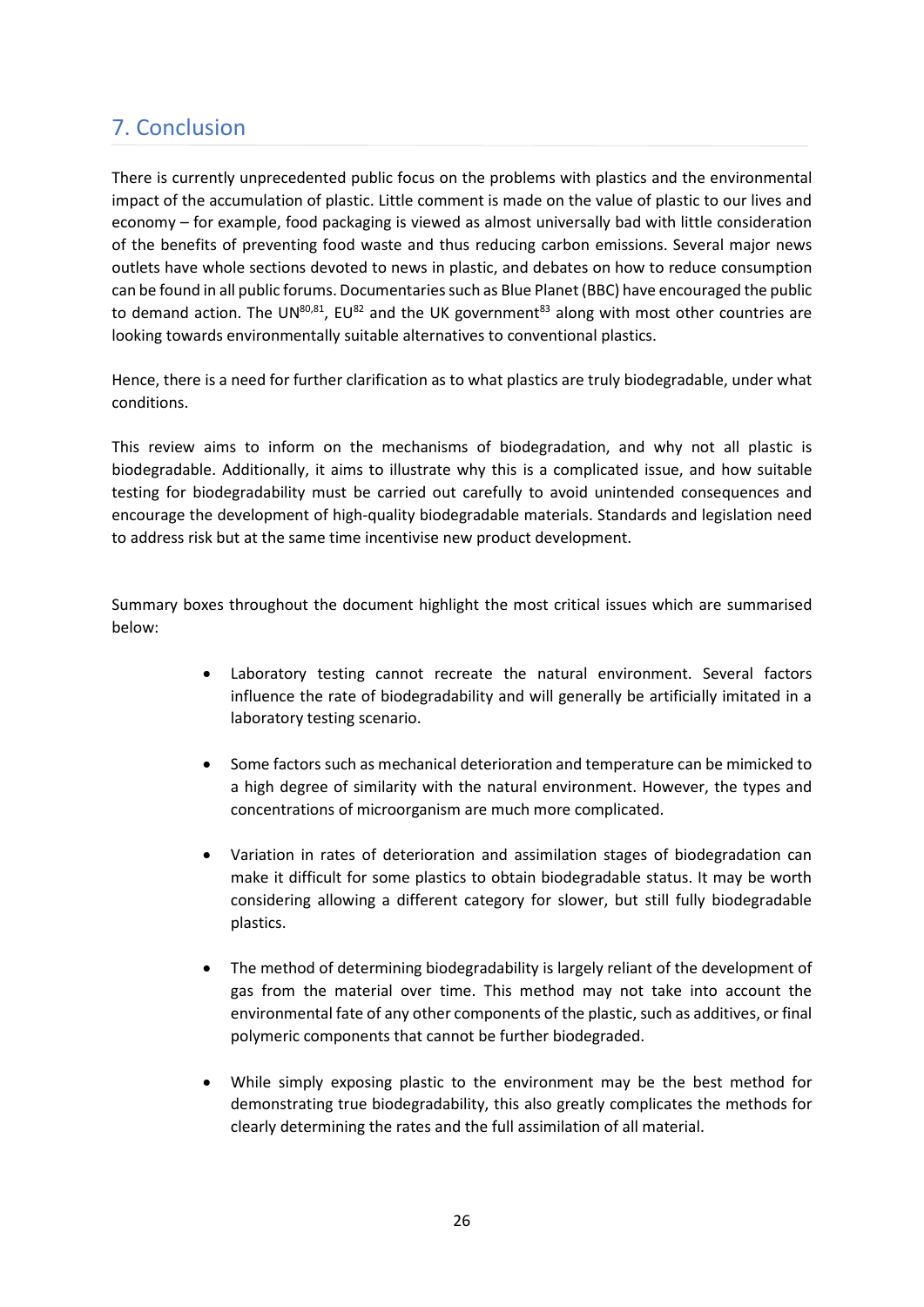# <span id="page-25-0"></span>7. Conclusion

There is currently unprecedented public focus on the problems with plastics and the environmental impact of the accumulation of plastic. Little comment is made on the value of plastic to our lives and economy – for example, food packaging is viewed as almost universally bad with little consideration of the benefits of preventing food waste and thus reducing carbon emissions. Several major news outlets have whole sections devoted to news in plastic, and debates on how to reduce consumption can be found in all public forums. Documentaries such as Blue Planet (BBC) have encouraged the public to demand action. The UN $^{80,81}$ , EU $^{82}$  and the UK government $^{83}$  along with most other countries are looking towards environmentally suitable alternatives to conventional plastics.

Hence, there is a need for further clarification as to what plastics are truly biodegradable, under what conditions.

This review aims to inform on the mechanisms of biodegradation, and why not all plastic is biodegradable. Additionally, it aims to illustrate why this is a complicated issue, and how suitable testing for biodegradability must be carried out carefully to avoid unintended consequences and encourage the development of high-quality biodegradable materials. Standards and legislation need to address risk but at the same time incentivise new product development.

Summary boxes throughout the document highlight the most critical issues which are summarised below:

- Laboratory testing cannot recreate the natural environment. Several factors influence the rate of biodegradability and will generally be artificially imitated in a laboratory testing scenario.
- Some factors such as mechanical deterioration and temperature can be mimicked to a high degree of similarity with the natural environment. However, the types and concentrations of microorganism are much more complicated.
- Variation in rates of deterioration and assimilation stages of biodegradation can make it difficult for some plastics to obtain biodegradable status. It may be worth considering allowing a different category for slower, but still fully biodegradable plastics.
- The method of determining biodegradability is largely reliant of the development of gas from the material over time. This method may not take into account the environmental fate of any other components of the plastic, such as additives, or final polymeric components that cannot be further biodegraded.
- While simply exposing plastic to the environment may be the best method for demonstrating true biodegradability, this also greatly complicates the methods for clearly determining the rates and the full assimilation of all material.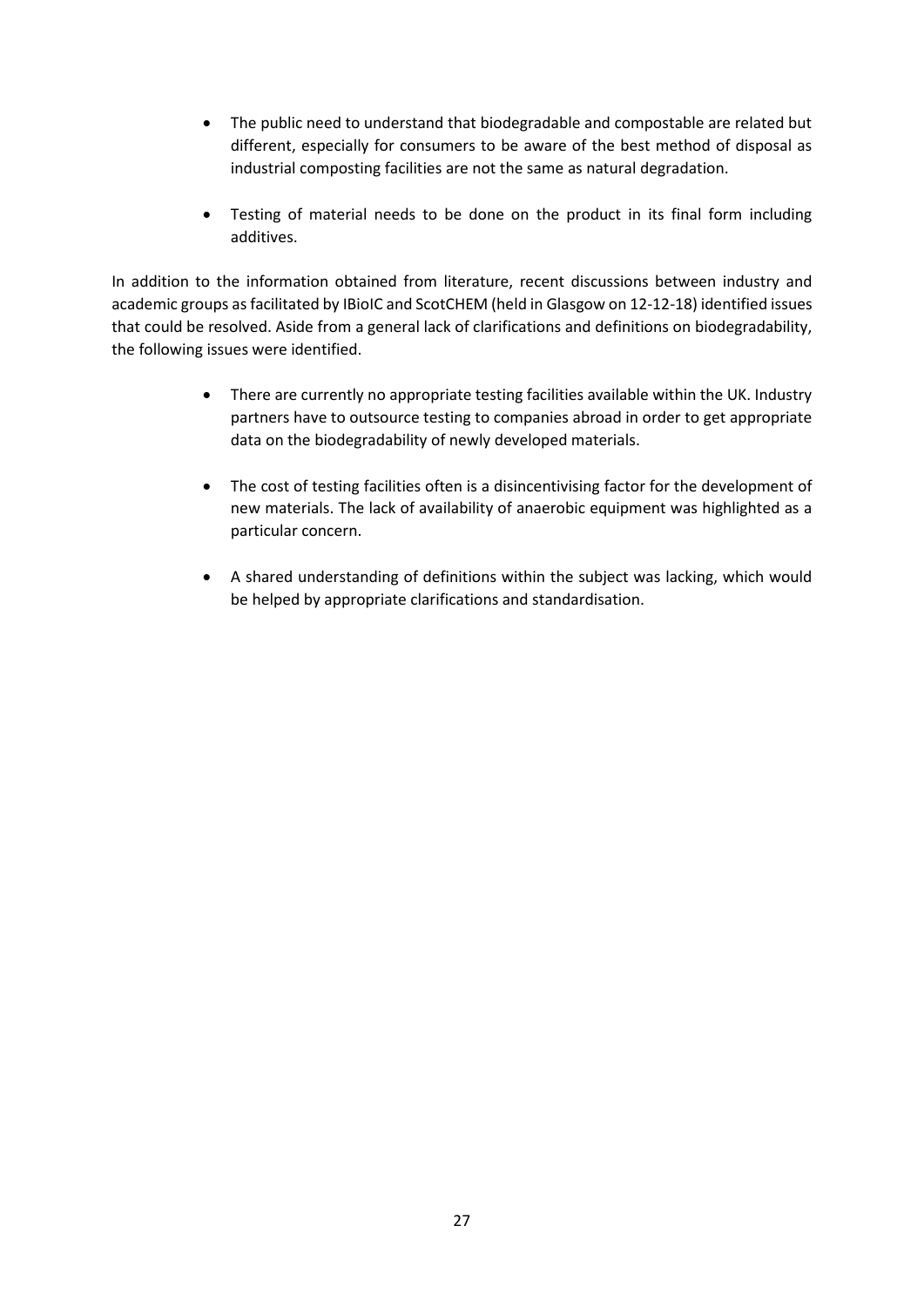- The public need to understand that biodegradable and compostable are related but different, especially for consumers to be aware of the best method of disposal as industrial composting facilities are not the same as natural degradation.
- Testing of material needs to be done on the product in its final form including additives.

In addition to the information obtained from literature, recent discussions between industry and academic groups as facilitated by IBioIC and ScotCHEM (held in Glasgow on 12-12-18) identified issues that could be resolved. Aside from a general lack of clarifications and definitions on biodegradability, the following issues were identified.

- There are currently no appropriate testing facilities available within the UK. Industry partners have to outsource testing to companies abroad in order to get appropriate data on the biodegradability of newly developed materials.
- The cost of testing facilities often is a disincentivising factor for the development of new materials. The lack of availability of anaerobic equipment was highlighted as a particular concern.
- A shared understanding of definitions within the subject was lacking, which would be helped by appropriate clarifications and standardisation.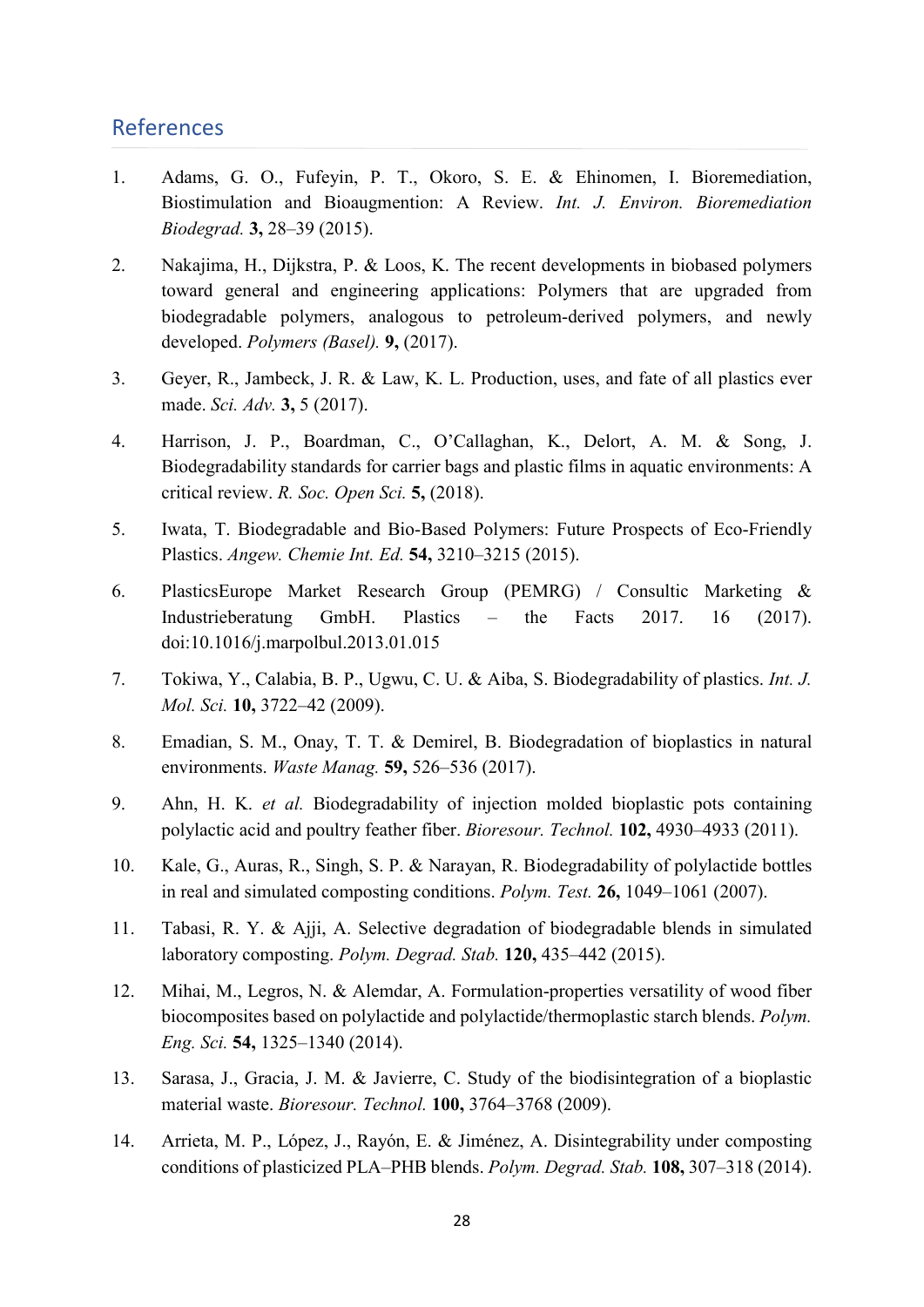### <span id="page-27-0"></span>References

- 1. Adams, G. O., Fufeyin, P. T., Okoro, S. E. & Ehinomen, I. Bioremediation, Biostimulation and Bioaugmention: A Review. *Int. J. Environ. Bioremediation Biodegrad.* **3,** 28–39 (2015).
- 2. Nakajima, H., Dijkstra, P. & Loos, K. The recent developments in biobased polymers toward general and engineering applications: Polymers that are upgraded from biodegradable polymers, analogous to petroleum-derived polymers, and newly developed. *Polymers (Basel).* **9,** (2017).
- 3. Geyer, R., Jambeck, J. R. & Law, K. L. Production, uses, and fate of all plastics ever made. *Sci. Adv.* **3,** 5 (2017).
- 4. Harrison, J. P., Boardman, C., O'Callaghan, K., Delort, A. M. & Song, J. Biodegradability standards for carrier bags and plastic films in aquatic environments: A critical review. *R. Soc. Open Sci.* **5,** (2018).
- 5. Iwata, T. Biodegradable and Bio-Based Polymers: Future Prospects of Eco-Friendly Plastics. *Angew. Chemie Int. Ed.* **54,** 3210–3215 (2015).
- 6. PlasticsEurope Market Research Group (PEMRG) / Consultic Marketing & Industrieberatung GmbH. Plastics – the Facts 2017. 16 (2017). doi:10.1016/j.marpolbul.2013.01.015
- 7. Tokiwa, Y., Calabia, B. P., Ugwu, C. U. & Aiba, S. Biodegradability of plastics. *Int. J. Mol. Sci.* **10,** 3722–42 (2009).
- 8. Emadian, S. M., Onay, T. T. & Demirel, B. Biodegradation of bioplastics in natural environments. *Waste Manag.* **59,** 526–536 (2017).
- 9. Ahn, H. K. *et al.* Biodegradability of injection molded bioplastic pots containing polylactic acid and poultry feather fiber. *Bioresour. Technol.* **102,** 4930–4933 (2011).
- 10. Kale, G., Auras, R., Singh, S. P. & Narayan, R. Biodegradability of polylactide bottles in real and simulated composting conditions. *Polym. Test.* **26,** 1049–1061 (2007).
- 11. Tabasi, R. Y. & Ajji, A. Selective degradation of biodegradable blends in simulated laboratory composting. *Polym. Degrad. Stab.* **120,** 435–442 (2015).
- 12. Mihai, M., Legros, N. & Alemdar, A. Formulation-properties versatility of wood fiber biocomposites based on polylactide and polylactide/thermoplastic starch blends. *Polym. Eng. Sci.* **54,** 1325–1340 (2014).
- 13. Sarasa, J., Gracia, J. M. & Javierre, C. Study of the biodisintegration of a bioplastic material waste. *Bioresour. Technol.* **100,** 3764–3768 (2009).
- 14. Arrieta, M. P., López, J., Rayón, E. & Jiménez, A. Disintegrability under composting conditions of plasticized PLA–PHB blends. *Polym. Degrad. Stab.* **108,** 307–318 (2014).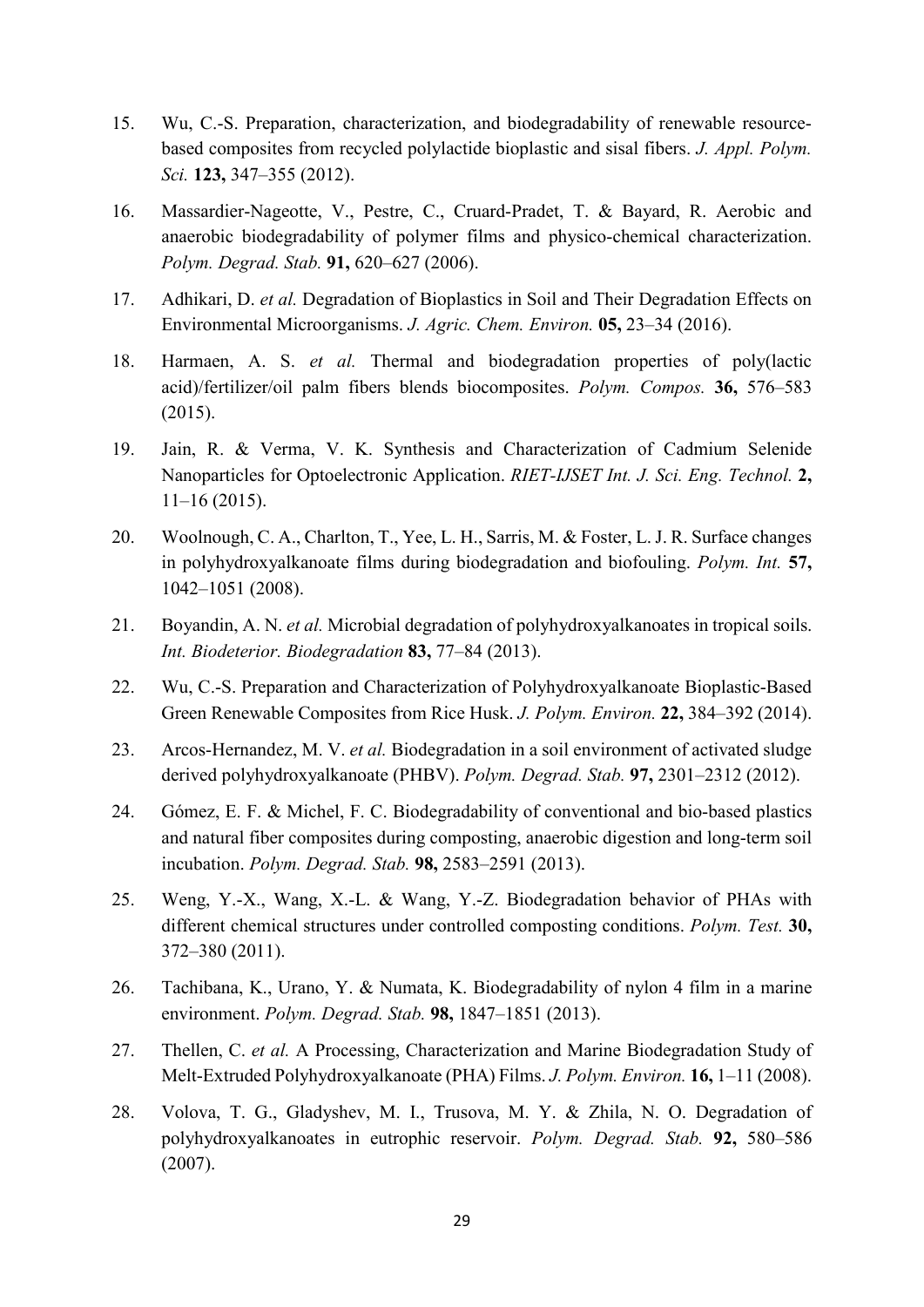- 15. Wu, C.-S. Preparation, characterization, and biodegradability of renewable resourcebased composites from recycled polylactide bioplastic and sisal fibers. *J. Appl. Polym. Sci.* **123,** 347–355 (2012).
- 16. Massardier-Nageotte, V., Pestre, C., Cruard-Pradet, T. & Bayard, R. Aerobic and anaerobic biodegradability of polymer films and physico-chemical characterization. *Polym. Degrad. Stab.* **91,** 620–627 (2006).
- 17. Adhikari, D. *et al.* Degradation of Bioplastics in Soil and Their Degradation Effects on Environmental Microorganisms. *J. Agric. Chem. Environ.* **05,** 23–34 (2016).
- 18. Harmaen, A. S. *et al.* Thermal and biodegradation properties of poly(lactic acid)/fertilizer/oil palm fibers blends biocomposites. *Polym. Compos.* **36,** 576–583 (2015).
- 19. Jain, R. & Verma, V. K. Synthesis and Characterization of Cadmium Selenide Nanoparticles for Optoelectronic Application. *RIET-IJSET Int. J. Sci. Eng. Technol.* **2,** 11–16 (2015).
- 20. Woolnough, C. A., Charlton, T., Yee, L. H., Sarris, M. & Foster, L. J. R. Surface changes in polyhydroxyalkanoate films during biodegradation and biofouling. *Polym. Int.* **57,** 1042–1051 (2008).
- 21. Boyandin, A. N. *et al.* Microbial degradation of polyhydroxyalkanoates in tropical soils. *Int. Biodeterior. Biodegradation* **83,** 77–84 (2013).
- 22. Wu, C.-S. Preparation and Characterization of Polyhydroxyalkanoate Bioplastic-Based Green Renewable Composites from Rice Husk. *J. Polym. Environ.* **22,** 384–392 (2014).
- 23. Arcos-Hernandez, M. V. *et al.* Biodegradation in a soil environment of activated sludge derived polyhydroxyalkanoate (PHBV). *Polym. Degrad. Stab.* **97,** 2301–2312 (2012).
- 24. Gómez, E. F. & Michel, F. C. Biodegradability of conventional and bio-based plastics and natural fiber composites during composting, anaerobic digestion and long-term soil incubation. *Polym. Degrad. Stab.* **98,** 2583–2591 (2013).
- 25. Weng, Y.-X., Wang, X.-L. & Wang, Y.-Z. Biodegradation behavior of PHAs with different chemical structures under controlled composting conditions. *Polym. Test.* **30,** 372–380 (2011).
- 26. Tachibana, K., Urano, Y. & Numata, K. Biodegradability of nylon 4 film in a marine environment. *Polym. Degrad. Stab.* **98,** 1847–1851 (2013).
- 27. Thellen, C. *et al.* A Processing, Characterization and Marine Biodegradation Study of Melt-Extruded Polyhydroxyalkanoate (PHA) Films. *J. Polym. Environ.* **16,** 1–11 (2008).
- 28. Volova, T. G., Gladyshev, M. I., Trusova, M. Y. & Zhila, N. O. Degradation of polyhydroxyalkanoates in eutrophic reservoir. *Polym. Degrad. Stab.* **92,** 580–586 (2007).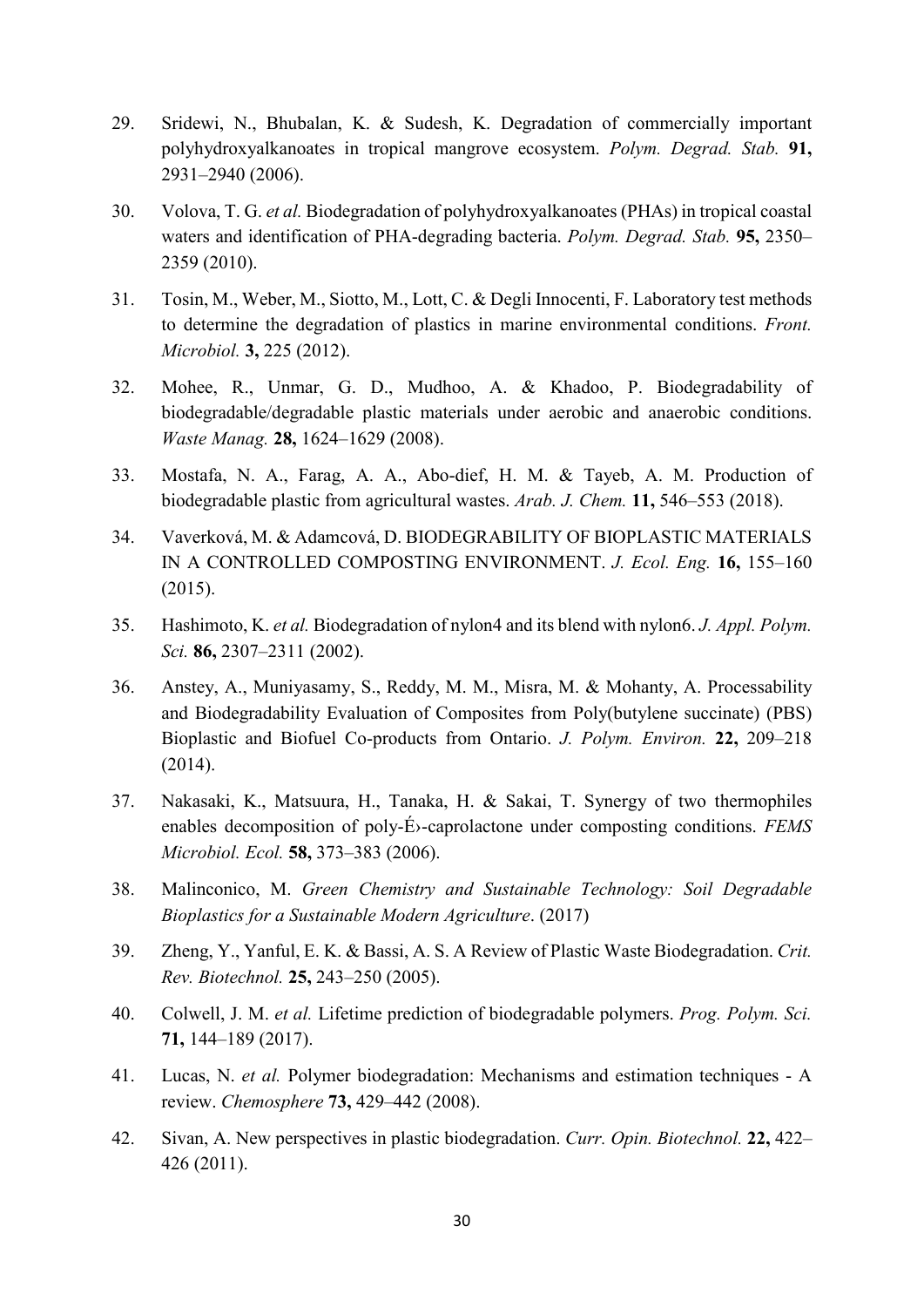- 29. Sridewi, N., Bhubalan, K. & Sudesh, K. Degradation of commercially important polyhydroxyalkanoates in tropical mangrove ecosystem. *Polym. Degrad. Stab.* **91,** 2931–2940 (2006).
- 30. Volova, T. G. *et al.* Biodegradation of polyhydroxyalkanoates (PHAs) in tropical coastal waters and identification of PHA-degrading bacteria. *Polym. Degrad. Stab.* **95,** 2350– 2359 (2010).
- 31. Tosin, M., Weber, M., Siotto, M., Lott, C. & Degli Innocenti, F. Laboratory test methods to determine the degradation of plastics in marine environmental conditions. *Front. Microbiol.* **3,** 225 (2012).
- 32. Mohee, R., Unmar, G. D., Mudhoo, A. & Khadoo, P. Biodegradability of biodegradable/degradable plastic materials under aerobic and anaerobic conditions. *Waste Manag.* **28,** 1624–1629 (2008).
- 33. Mostafa, N. A., Farag, A. A., Abo-dief, H. M. & Tayeb, A. M. Production of biodegradable plastic from agricultural wastes. *Arab. J. Chem.* **11,** 546–553 (2018).
- 34. Vaverková, M. & Adamcová, D. BIODEGRABILITY OF BIOPLASTIC MATERIALS IN A CONTROLLED COMPOSTING ENVIRONMENT. *J. Ecol. Eng.* **16,** 155–160 (2015).
- 35. Hashimoto, K. *et al.* Biodegradation of nylon4 and its blend with nylon6. *J. Appl. Polym. Sci.* **86,** 2307–2311 (2002).
- 36. Anstey, A., Muniyasamy, S., Reddy, M. M., Misra, M. & Mohanty, A. Processability and Biodegradability Evaluation of Composites from Poly(butylene succinate) (PBS) Bioplastic and Biofuel Co-products from Ontario. *J. Polym. Environ.* **22,** 209–218 (2014).
- 37. Nakasaki, K., Matsuura, H., Tanaka, H. & Sakai, T. Synergy of two thermophiles enables decomposition of poly-É›-caprolactone under composting conditions. *FEMS Microbiol. Ecol.* **58,** 373–383 (2006).
- 38. Malinconico, M. *Green Chemistry and Sustainable Technology: Soil Degradable Bioplastics for a Sustainable Modern Agriculture*. (2017)
- 39. Zheng, Y., Yanful, E. K. & Bassi, A. S. A Review of Plastic Waste Biodegradation. *Crit. Rev. Biotechnol.* **25,** 243–250 (2005).
- 40. Colwell, J. M. *et al.* Lifetime prediction of biodegradable polymers. *Prog. Polym. Sci.* **71,** 144–189 (2017).
- 41. Lucas, N. *et al.* Polymer biodegradation: Mechanisms and estimation techniques A review. *Chemosphere* **73,** 429–442 (2008).
- 42. Sivan, A. New perspectives in plastic biodegradation. *Curr. Opin. Biotechnol.* **22,** 422– 426 (2011).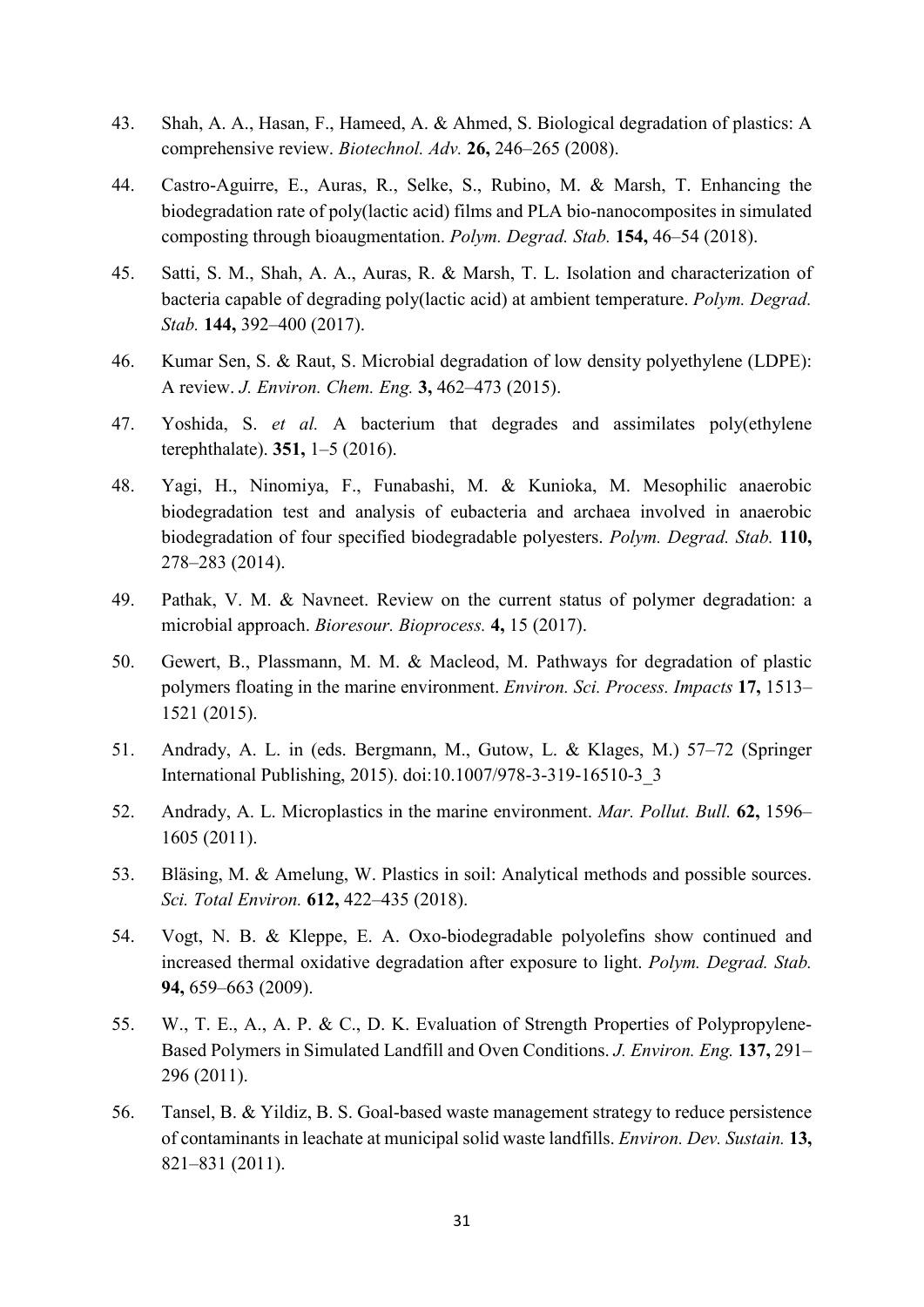- 43. Shah, A. A., Hasan, F., Hameed, A. & Ahmed, S. Biological degradation of plastics: A comprehensive review. *Biotechnol. Adv.* **26,** 246–265 (2008).
- 44. Castro-Aguirre, E., Auras, R., Selke, S., Rubino, M. & Marsh, T. Enhancing the biodegradation rate of poly(lactic acid) films and PLA bio-nanocomposites in simulated composting through bioaugmentation. *Polym. Degrad. Stab.* **154,** 46–54 (2018).
- 45. Satti, S. M., Shah, A. A., Auras, R. & Marsh, T. L. Isolation and characterization of bacteria capable of degrading poly(lactic acid) at ambient temperature. *Polym. Degrad. Stab.* **144,** 392–400 (2017).
- 46. Kumar Sen, S. & Raut, S. Microbial degradation of low density polyethylene (LDPE): A review. *J. Environ. Chem. Eng.* **3,** 462–473 (2015).
- 47. Yoshida, S. *et al.* A bacterium that degrades and assimilates poly(ethylene terephthalate). **351,** 1–5 (2016).
- 48. Yagi, H., Ninomiya, F., Funabashi, M. & Kunioka, M. Mesophilic anaerobic biodegradation test and analysis of eubacteria and archaea involved in anaerobic biodegradation of four specified biodegradable polyesters. *Polym. Degrad. Stab.* **110,** 278–283 (2014).
- 49. Pathak, V. M. & Navneet. Review on the current status of polymer degradation: a microbial approach. *Bioresour. Bioprocess.* **4,** 15 (2017).
- 50. Gewert, B., Plassmann, M. M. & Macleod, M. Pathways for degradation of plastic polymers floating in the marine environment. *Environ. Sci. Process. Impacts* **17,** 1513– 1521 (2015).
- 51. Andrady, A. L. in (eds. Bergmann, M., Gutow, L. & Klages, M.) 57–72 (Springer International Publishing, 2015). doi:10.1007/978-3-319-16510-3\_3
- 52. Andrady, A. L. Microplastics in the marine environment. *Mar. Pollut. Bull.* **62,** 1596– 1605 (2011).
- 53. Bläsing, M. & Amelung, W. Plastics in soil: Analytical methods and possible sources. *Sci. Total Environ.* **612,** 422–435 (2018).
- 54. Vogt, N. B. & Kleppe, E. A. Oxo-biodegradable polyolefins show continued and increased thermal oxidative degradation after exposure to light. *Polym. Degrad. Stab.* **94,** 659–663 (2009).
- 55. W., T. E., A., A. P. & C., D. K. Evaluation of Strength Properties of Polypropylene-Based Polymers in Simulated Landfill and Oven Conditions. *J. Environ. Eng.* **137,** 291– 296 (2011).
- 56. Tansel, B. & Yildiz, B. S. Goal-based waste management strategy to reduce persistence of contaminants in leachate at municipal solid waste landfills. *Environ. Dev. Sustain.* **13,** 821–831 (2011).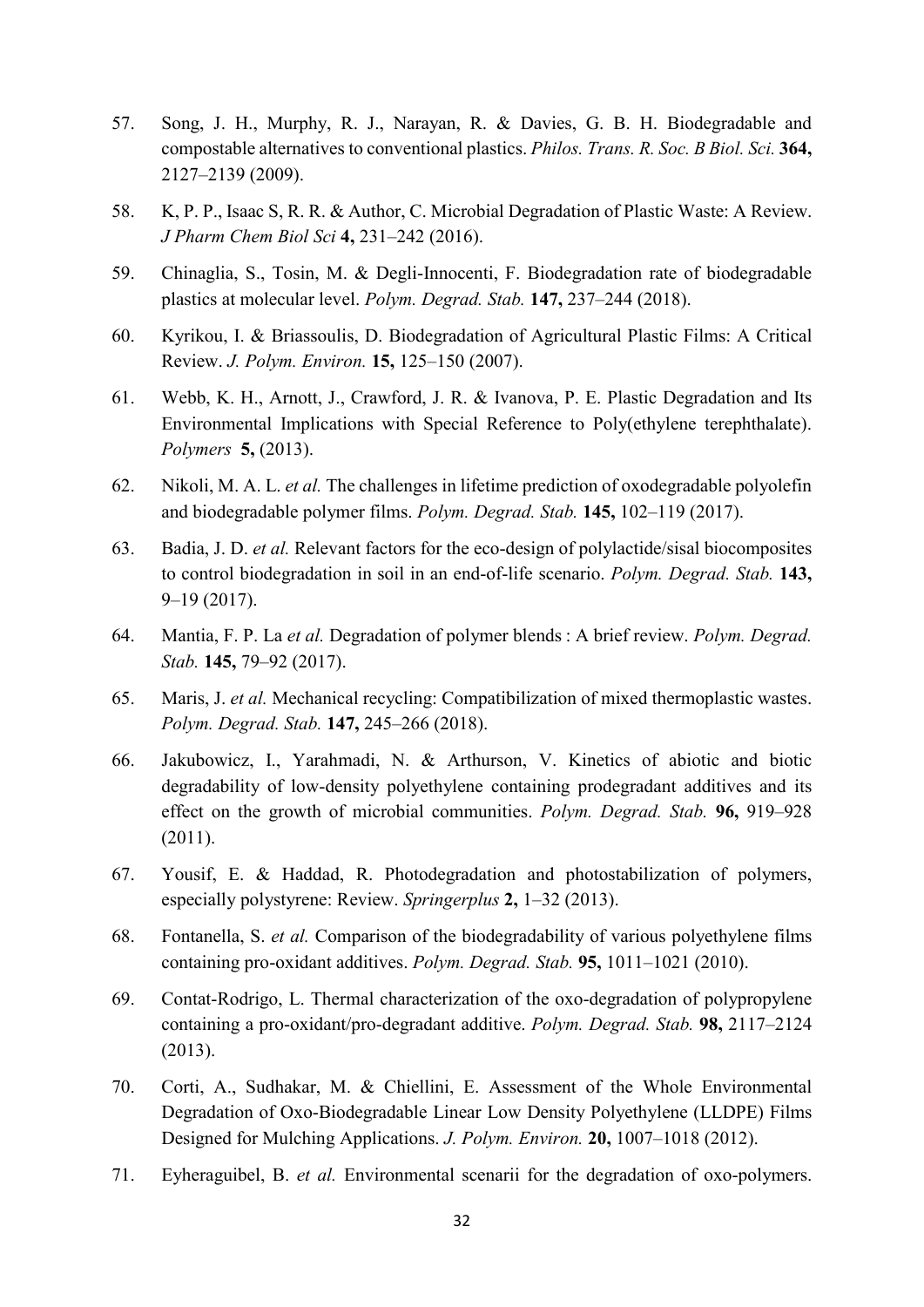- 57. Song, J. H., Murphy, R. J., Narayan, R. & Davies, G. B. H. Biodegradable and compostable alternatives to conventional plastics. *Philos. Trans. R. Soc. B Biol. Sci.* **364,** 2127–2139 (2009).
- 58. K, P. P., Isaac S, R. R. & Author, C. Microbial Degradation of Plastic Waste: A Review. *J Pharm Chem Biol Sci* **4,** 231–242 (2016).
- 59. Chinaglia, S., Tosin, M. & Degli-Innocenti, F. Biodegradation rate of biodegradable plastics at molecular level. *Polym. Degrad. Stab.* **147,** 237–244 (2018).
- 60. Kyrikou, I. & Briassoulis, D. Biodegradation of Agricultural Plastic Films: A Critical Review. *J. Polym. Environ.* **15,** 125–150 (2007).
- 61. Webb, K. H., Arnott, J., Crawford, J. R. & Ivanova, P. E. Plastic Degradation and Its Environmental Implications with Special Reference to Poly(ethylene terephthalate). *Polymers* **5,** (2013).
- 62. Nikoli, M. A. L. *et al.* The challenges in lifetime prediction of oxodegradable polyolefin and biodegradable polymer films. *Polym. Degrad. Stab.* **145,** 102–119 (2017).
- 63. Badia, J. D. *et al.* Relevant factors for the eco-design of polylactide/sisal biocomposites to control biodegradation in soil in an end-of-life scenario. *Polym. Degrad. Stab.* **143,** 9–19 (2017).
- 64. Mantia, F. P. La *et al.* Degradation of polymer blends : A brief review. *Polym. Degrad. Stab.* **145,** 79–92 (2017).
- 65. Maris, J. *et al.* Mechanical recycling: Compatibilization of mixed thermoplastic wastes. *Polym. Degrad. Stab.* **147,** 245–266 (2018).
- 66. Jakubowicz, I., Yarahmadi, N. & Arthurson, V. Kinetics of abiotic and biotic degradability of low-density polyethylene containing prodegradant additives and its effect on the growth of microbial communities. *Polym. Degrad. Stab.* **96,** 919–928 (2011).
- 67. Yousif, E. & Haddad, R. Photodegradation and photostabilization of polymers, especially polystyrene: Review. *Springerplus* **2,** 1–32 (2013).
- 68. Fontanella, S. *et al.* Comparison of the biodegradability of various polyethylene films containing pro-oxidant additives. *Polym. Degrad. Stab.* **95,** 1011–1021 (2010).
- 69. Contat-Rodrigo, L. Thermal characterization of the oxo-degradation of polypropylene containing a pro-oxidant/pro-degradant additive. *Polym. Degrad. Stab.* **98,** 2117–2124 (2013).
- 70. Corti, A., Sudhakar, M. & Chiellini, E. Assessment of the Whole Environmental Degradation of Oxo-Biodegradable Linear Low Density Polyethylene (LLDPE) Films Designed for Mulching Applications. *J. Polym. Environ.* **20,** 1007–1018 (2012).
- 71. Eyheraguibel, B. *et al.* Environmental scenarii for the degradation of oxo-polymers.